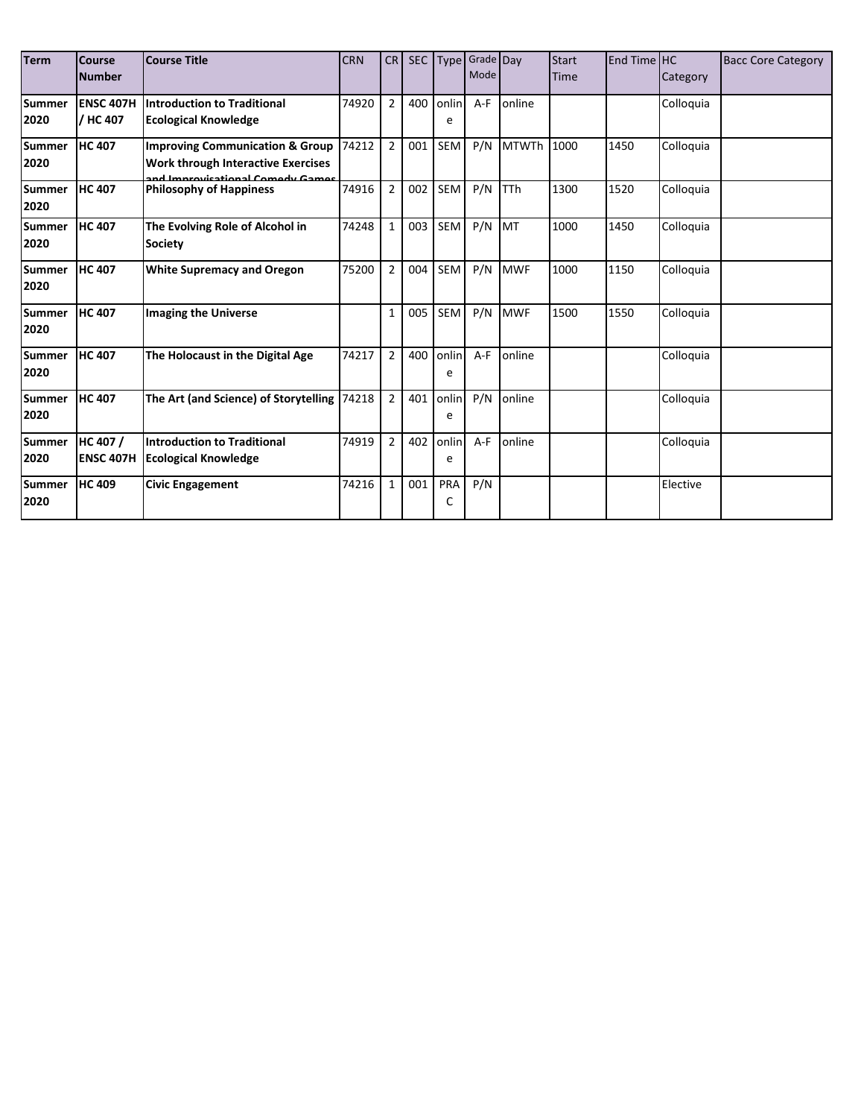| <b>Term</b>           | <b>Course</b><br><b>Number</b> | <b>Course Title</b>                                                                                                    | <b>CRN</b> | <b>CR</b>      | SEC | <b>Type</b> | Grade Day<br>Mode |              | <b>Start</b><br>Time | End Time HC | Category  | <b>Bacc Core Category</b> |
|-----------------------|--------------------------------|------------------------------------------------------------------------------------------------------------------------|------------|----------------|-----|-------------|-------------------|--------------|----------------------|-------------|-----------|---------------------------|
| <b>Summer</b><br>2020 | <b>ENSC 407H</b><br>/ HC 407   | <b>Introduction to Traditional</b><br><b>Ecological Knowledge</b>                                                      | 74920      | $\overline{2}$ | 400 | onlin<br>e  | $A-F$             | online       |                      |             | Colloquia |                           |
| <b>Summer</b><br>2020 | <b>HC 407</b>                  | <b>Improving Communication &amp; Group</b><br><b>Work through Interactive Exercises</b><br>Lanzovicational Compete Can | 74212      | $\overline{2}$ | 001 | SEM         | P/N               | <b>MTWTh</b> | 1000                 | 1450        | Colloquia |                           |
| Summer<br>2020        | <b>HC 407</b>                  | <b>Philosophy of Happiness</b>                                                                                         | 74916      | $\overline{2}$ | 002 | SEM         | P/N               | <b>TTh</b>   | 1300                 | 1520        | Colloquia |                           |
| Summer<br>2020        | <b>HC 407</b>                  | The Evolving Role of Alcohol in<br><b>Society</b>                                                                      | 74248      | 1              | 003 | SEM         | P/N               | MT           | 1000                 | 1450        | Colloquia |                           |
| Summer<br>2020        | <b>HC 407</b>                  | <b>White Supremacy and Oregon</b>                                                                                      | 75200      | $\overline{2}$ | 004 | SEM         | P/N               | <b>MWF</b>   | 1000                 | 1150        | Colloquia |                           |
| <b>Summer</b><br>2020 | <b>HC 407</b>                  | <b>Imaging the Universe</b>                                                                                            |            | $\mathbf{1}$   | 005 | <b>SEM</b>  | P/N               | <b>MWF</b>   | 1500                 | 1550        | Colloquia |                           |
| <b>Summer</b><br>2020 | <b>HC 407</b>                  | The Holocaust in the Digital Age                                                                                       | 74217      | $\overline{2}$ | 400 | onlin<br>e  | $A-F$             | online       |                      |             | Colloquia |                           |
| <b>Summer</b><br>2020 | <b>HC 407</b>                  | The Art (and Science) of Storytelling                                                                                  | 74218      | $\overline{2}$ | 401 | onlin<br>e  | P/N               | online       |                      |             | Colloguia |                           |
| <b>Summer</b><br>2020 | HC 407 /<br><b>ENSC 407H</b>   | <b>Introduction to Traditional</b><br>Ecological Knowledge                                                             | 74919      | $\overline{2}$ | 402 | onlin<br>e  | A-F               | online       |                      |             | Colloguia |                           |
| Summer<br>2020        | <b>HC 409</b>                  | <b>Civic Engagement</b>                                                                                                | 74216      | $\mathbf{1}$   | 001 | PRA<br>C    | P/N               |              |                      |             | Elective  |                           |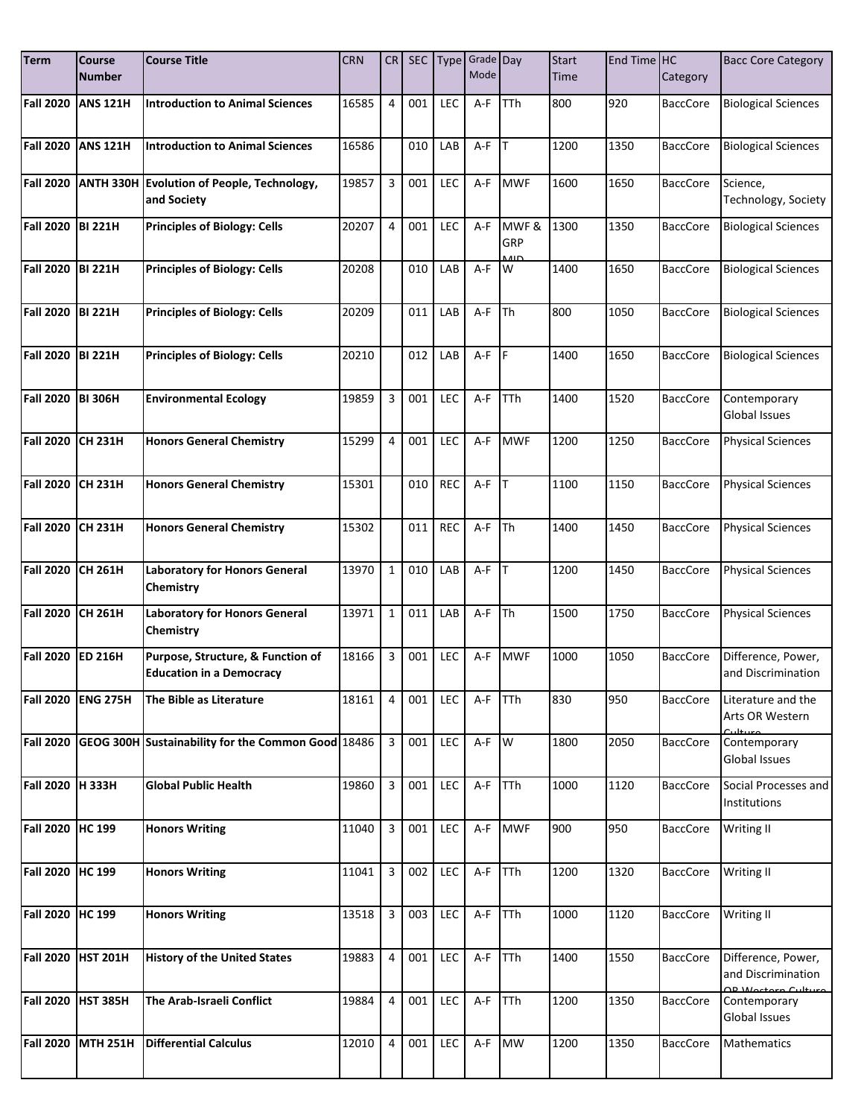| <b>Term</b>      | <b>Course</b><br><b>Number</b> | <b>Course Title</b>                                                  | <b>CRN</b> | CR             | <b>SEC</b> |            | Type Grade Day<br>Mode |                | <b>Start</b><br>Time | End Time HC | Category        | <b>Bacc Core Category</b>                |
|------------------|--------------------------------|----------------------------------------------------------------------|------------|----------------|------------|------------|------------------------|----------------|----------------------|-------------|-----------------|------------------------------------------|
| <b>Fall 2020</b> | <b>ANS 121H</b>                | <b>Introduction to Animal Sciences</b>                               | 16585      | 4              | 001        | <b>LEC</b> | A-F                    | <b>TTh</b>     | 800                  | 920         | <b>BaccCore</b> | <b>Biological Sciences</b>               |
|                  |                                |                                                                      |            |                |            |            |                        |                |                      |             |                 |                                          |
| <b>Fall 2020</b> | <b>ANS 121H</b>                | <b>Introduction to Animal Sciences</b>                               | 16586      |                | 010        | LAB        | A-F                    | T              | 1200                 | 1350        | <b>BaccCore</b> | <b>Biological Sciences</b>               |
| <b>Fall 2020</b> |                                | ANTH 330H Evolution of People, Technology,<br>and Society            | 19857      | 3              | 001        | LEC        | A-F                    | <b>MWF</b>     | 1600                 | 1650        | <b>BaccCore</b> | Science,<br>Technology, Society          |
| <b>Fall 2020</b> | <b>BI 221H</b>                 | <b>Principles of Biology: Cells</b>                                  | 20207      | 4              | 001        | LEC        | $A-F$                  | MWF &<br>GRP   | 1300                 | 1350        | <b>BaccCore</b> | <b>Biological Sciences</b>               |
| <b>Fall 2020</b> | <b>BI 221H</b>                 | <b>Principles of Biology: Cells</b>                                  | 20208      |                | 010        | LAB        | $A-F$                  | $\overline{8}$ | 1400                 | 1650        | <b>BaccCore</b> | <b>Biological Sciences</b>               |
| <b>Fall 2020</b> | <b>BI 221H</b>                 | <b>Principles of Biology: Cells</b>                                  | 20209      |                | 011        | LAB        | $A-F$                  | <b>Th</b>      | 800                  | 1050        | <b>BaccCore</b> | <b>Biological Sciences</b>               |
| <b>Fall 2020</b> | <b>BI 221H</b>                 | <b>Principles of Biology: Cells</b>                                  | 20210      |                | 012        | LAB        | A-F                    | <b>IF</b>      | 1400                 | 1650        | <b>BaccCore</b> | <b>Biological Sciences</b>               |
| <b>Fall 2020</b> | <b>BI 306H</b>                 | <b>Environmental Ecology</b>                                         | 19859      | 3              | 001        | LEC        | A-F                    | <b>TTh</b>     | 1400                 | 1520        | <b>BaccCore</b> | Contemporary<br><b>Global Issues</b>     |
| <b>Fall 2020</b> | <b>CH 231H</b>                 | <b>Honors General Chemistry</b>                                      | 15299      | 4              | 001        | LEC        | A-F                    | <b>MWF</b>     | 1200                 | 1250        | <b>BaccCore</b> | <b>Physical Sciences</b>                 |
| <b>Fall 2020</b> | <b>CH 231H</b>                 | <b>Honors General Chemistry</b>                                      | 15301      |                | 010        | <b>REC</b> | $A-F$ T                |                | 1100                 | 1150        | <b>BaccCore</b> | <b>Physical Sciences</b>                 |
| <b>Fall 2020</b> | <b>CH 231H</b>                 | <b>Honors General Chemistry</b>                                      | 15302      |                | 011        | <b>REC</b> | A-F                    | <b>Th</b>      | 1400                 | 1450        | <b>BaccCore</b> | <b>Physical Sciences</b>                 |
| <b>Fall 2020</b> | <b>CH 261H</b>                 | <b>Laboratory for Honors General</b><br>Chemistry                    | 13970      | $\mathbf{1}$   | 010        | LAB        | A-F                    | <b>IT</b>      | 1200                 | 1450        | <b>BaccCore</b> | <b>Physical Sciences</b>                 |
| <b>Fall 2020</b> | <b>CH 261H</b>                 | <b>Laboratory for Honors General</b><br>Chemistry                    | 13971      | $\mathbf 1$    | 011        | LAB        | A-F                    | Th             | 1500                 | 1750        | <b>BaccCore</b> | <b>Physical Sciences</b>                 |
| <b>Fall 2020</b> | <b>ED 216H</b>                 | Purpose, Structure, & Function of<br><b>Education in a Democracy</b> | 18166      | 3              | 001        | LEC        | $A-F$                  | <b>MWF</b>     | 1000                 | 1050        | <b>BaccCore</b> | Difference, Power,<br>and Discrimination |
| <b>Fall 2020</b> | <b>ENG 275H</b>                | The Bible as Literature                                              | 18161      | 4              | 001        | LEC        | A-F                    | TTh            | 830                  | 950         | <b>BaccCore</b> | Literature and the<br>Arts OR Western    |
| <b>Fall 2020</b> |                                | GEOG 300H Sustainability for the Common Good 18486                   |            | $\overline{3}$ | 001        | LEC        | A-F W                  |                | 1800                 | 2050        | <b>BaccCore</b> | Contemporary<br><b>Global Issues</b>     |
| <b>Fall 2020</b> | <b>H333H</b>                   | <b>Global Public Health</b>                                          | 19860      | 3              | 001        | LEC        | $A-F$                  | TTh            | 1000                 | 1120        | <b>BaccCore</b> | Social Processes and<br>Institutions     |
| <b>Fall 2020</b> | HC 199                         | <b>Honors Writing</b>                                                | 11040      | 3              | 001        | LEC        | A-F                    | <b>MWF</b>     | 900                  | 950         | <b>BaccCore</b> | Writing II                               |
| <b>Fall 2020</b> | <b>HC 199</b>                  | <b>Honors Writing</b>                                                | 11041      | 3              | 002        | LEC        | $A-F$ TTh              |                | 1200                 | 1320        | <b>BaccCore</b> | Writing II                               |
| Fall 2020 HC 199 |                                | <b>Honors Writing</b>                                                | 13518      | 3              | 003        | LEC        | A-F                    | TTh            | 1000                 | 1120        | <b>BaccCore</b> | Writing II                               |
| <b>Fall 2020</b> | <b>HST 201H</b>                | <b>History of the United States</b>                                  | 19883      | 4              | 001        | LEC        | A-F                    | TTh            | 1400                 | 1550        | <b>BaccCore</b> | Difference, Power,<br>and Discrimination |
| <b>Fall 2020</b> | <b>HST 385H</b>                | The Arab-Israeli Conflict                                            | 19884      | 4              | 001        | LEC        | $A-F$                  | <b>TTh</b>     | 1200                 | 1350        | <b>BaccCore</b> | Contemporary<br><b>Global Issues</b>     |
| <b>Fall 2020</b> | <b>MTH 251H</b>                | <b>Differential Calculus</b>                                         | 12010      | 4              | 001        | <b>LEC</b> | A-F                    | MW             | 1200                 | 1350        | <b>BaccCore</b> | Mathematics                              |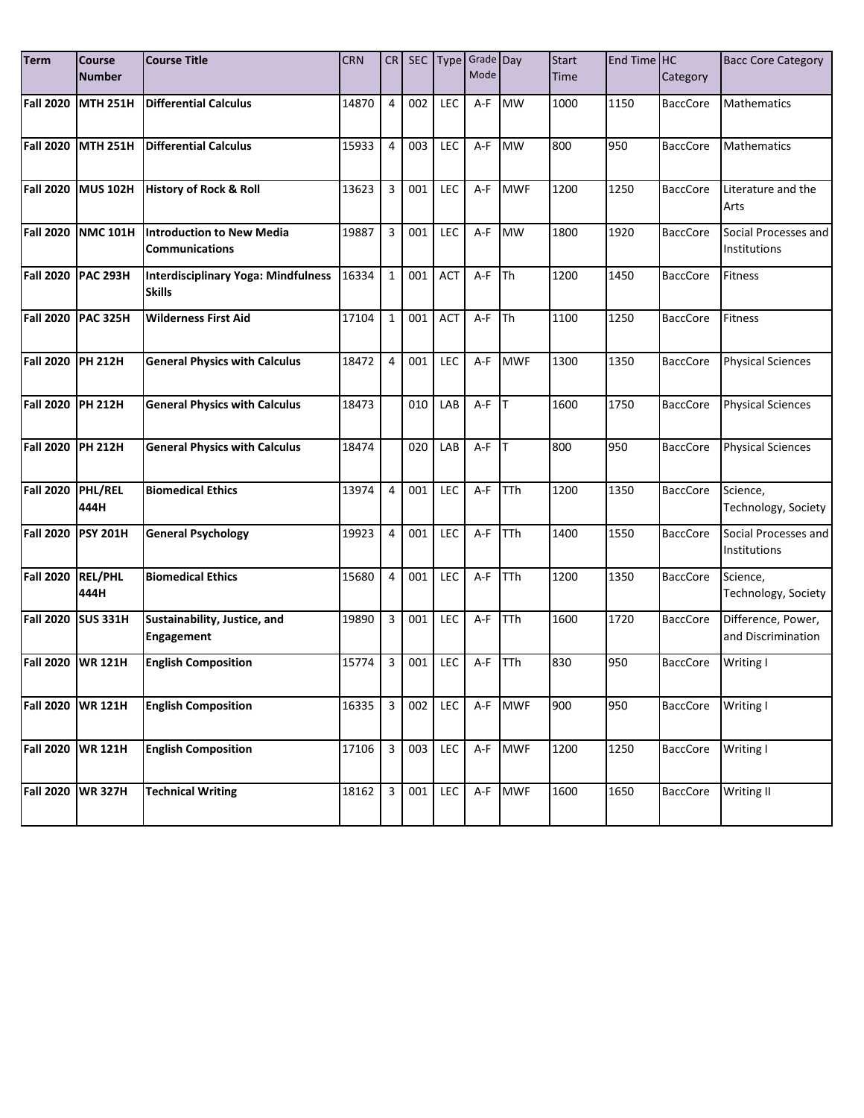| <b>Term</b>      | <b>Course</b><br>Number | <b>Course Title</b>                                         | <b>CRN</b> | CR <sub>1</sub> | SEC |            | Type Grade Day<br>Mode |            | <b>Start</b><br>Time | End Time HC | Category        | <b>Bacc Core Category</b>                |
|------------------|-------------------------|-------------------------------------------------------------|------------|-----------------|-----|------------|------------------------|------------|----------------------|-------------|-----------------|------------------------------------------|
| <b>Fall 2020</b> | <b>MTH 251H</b>         | <b>Differential Calculus</b>                                | 14870      | 4               | 002 | <b>LEC</b> | A-F                    | <b>MW</b>  | 1000                 | 1150        | <b>BaccCore</b> | <b>Mathematics</b>                       |
| <b>Fall 2020</b> | <b>MTH 251H</b>         | <b>Differential Calculus</b>                                | 15933      | 4               | 003 | LEC        | A-F                    | <b>MW</b>  | 800                  | 950         | <b>BaccCore</b> | <b>Mathematics</b>                       |
| <b>Fall 2020</b> | <b>MUS 102H</b>         | <b>History of Rock &amp; Roll</b>                           | 13623      | 3               | 001 | <b>LEC</b> | A-F                    | <b>MWF</b> | 1200                 | 1250        | <b>BaccCore</b> | Literature and the<br>Arts               |
| <b>Fall 2020</b> | <b>NMC 101H</b>         | <b>Introduction to New Media</b><br><b>Communications</b>   | 19887      | 3               | 001 | LEC        | A-F                    | <b>MW</b>  | 1800                 | 1920        | <b>BaccCore</b> | Social Processes and<br>Institutions     |
| <b>Fall 2020</b> | <b>PAC 293H</b>         | <b>Interdisciplinary Yoga: Mindfulness</b><br><b>Skills</b> | 16334      | $1\,$           | 001 | ACT        | A-F                    | <b>Th</b>  | 1200                 | 1450        | <b>BaccCore</b> | <b>Fitness</b>                           |
| <b>Fall 2020</b> | <b>PAC 325H</b>         | <b>Wilderness First Aid</b>                                 | 17104      | $1\,$           | 001 | <b>ACT</b> | A-F                    | <b>ITh</b> | 1100                 | 1250        | <b>BaccCore</b> | <b>Fitness</b>                           |
| <b>Fall 2020</b> | <b>PH 212H</b>          | <b>General Physics with Calculus</b>                        | 18472      | 4               | 001 | LEC        | A-F                    | <b>MWF</b> | 1300                 | 1350        | <b>BaccCore</b> | <b>Physical Sciences</b>                 |
| <b>Fall 2020</b> | <b>PH 212H</b>          | <b>General Physics with Calculus</b>                        | 18473      |                 | 010 | LAB        | A-F                    | <b>IT</b>  | 1600                 | 1750        | <b>BaccCore</b> | <b>Physical Sciences</b>                 |
| <b>Fall 2020</b> | <b>PH 212H</b>          | <b>General Physics with Calculus</b>                        | 18474      |                 | 020 | LAB        | $A-F$ $T$              |            | 800                  | 950         | <b>BaccCore</b> | <b>Physical Sciences</b>                 |
| <b>Fall 2020</b> | PHL/REL<br>444H         | <b>Biomedical Ethics</b>                                    | 13974      | 4               | 001 | <b>LEC</b> | $A-F$                  | <b>TTh</b> | 1200                 | 1350        | <b>BaccCore</b> | Science,<br>Technology, Society          |
| <b>Fall 2020</b> | <b>PSY 201H</b>         | <b>General Psychology</b>                                   | 19923      | 4               | 001 | LEC        | A-F                    | TTh        | 1400                 | 1550        | <b>BaccCore</b> | Social Processes and<br>Institutions     |
| <b>Fall 2020</b> | <b>REL/PHL</b><br>444H  | <b>Biomedical Ethics</b>                                    | 15680      | 4               | 001 | LEC        | A-F                    | <b>TTh</b> | 1200                 | 1350        | <b>BaccCore</b> | Science,<br>Technology, Society          |
| <b>Fall 2020</b> | <b>SUS 331H</b>         | Sustainability, Justice, and<br><b>Engagement</b>           | 19890      | 3               | 001 | LEC        | A-F                    | <b>TTh</b> | 1600                 | 1720        | <b>BaccCore</b> | Difference, Power,<br>and Discrimination |
| <b>Fall 2020</b> | <b>WR 121H</b>          | <b>English Composition</b>                                  | 15774      | 3               | 001 | LEC        | A-F                    | <b>TTh</b> | 830                  | 950         | <b>BaccCore</b> | Writing I                                |
| <b>Fall 2020</b> | <b>WR 121H</b>          | <b>English Composition</b>                                  | 16335      | 3               | 002 | LEC        | A-F                    | <b>MWF</b> | 900                  | 950         | <b>BaccCore</b> | Writing I                                |
| <b>Fall 2020</b> | <b>WR 121H</b>          | <b>English Composition</b>                                  | 17106      | 3               | 003 | LEC        | A-F                    | <b>MWF</b> | 1200                 | 1250        | <b>BaccCore</b> | Writing I                                |
| <b>Fall 2020</b> | <b>WR 327H</b>          | <b>Technical Writing</b>                                    | 18162      | 3               | 001 | LEC        | $A-F$                  | <b>MWF</b> | 1600                 | 1650        | <b>BaccCore</b> | Writing II                               |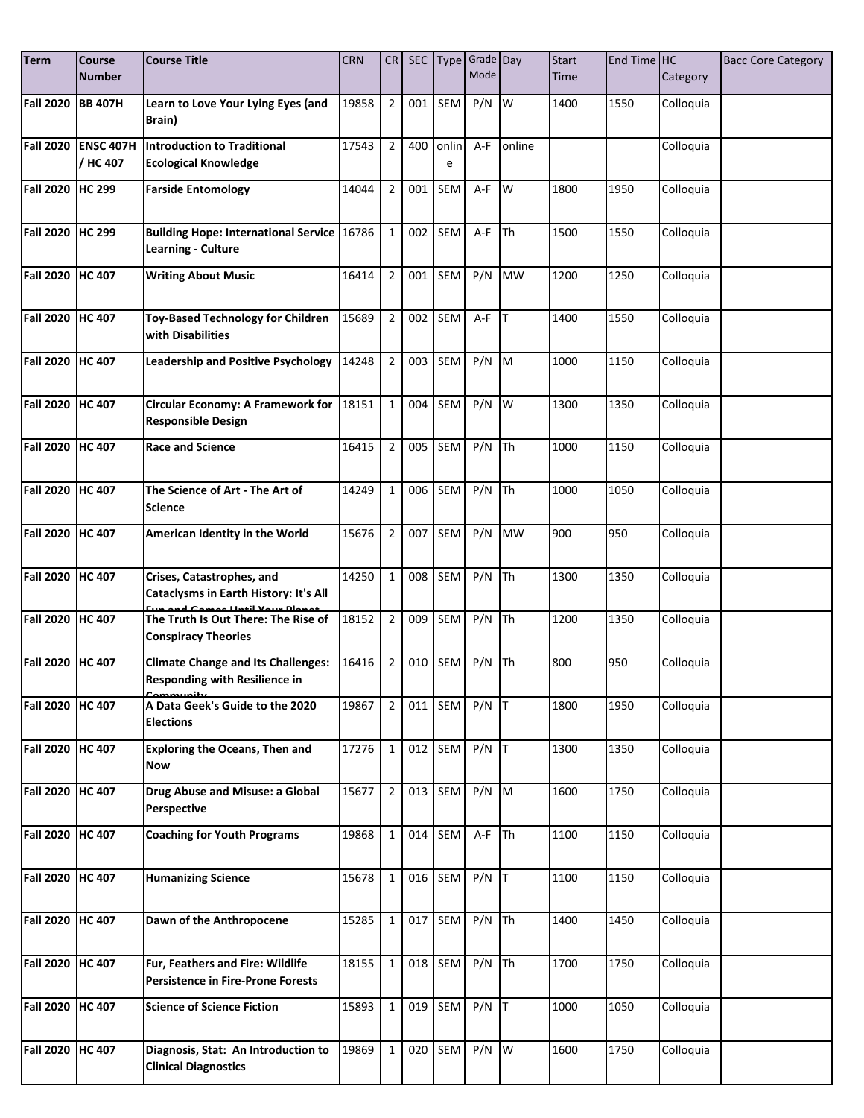| <b>Term</b>      | <b>Course</b><br><b>Number</b>  | <b>Course Title</b>                                                                              | <b>CRN</b> | CR             | <b>SEC</b> | <b>Type</b> | Grade Day<br>Mode |                         | <b>Start</b><br><b>Time</b> | End Time HC | Category  | <b>Bacc Core Category</b> |
|------------------|---------------------------------|--------------------------------------------------------------------------------------------------|------------|----------------|------------|-------------|-------------------|-------------------------|-----------------------------|-------------|-----------|---------------------------|
| <b>Fall 2020</b> | <b>BB 407H</b>                  | Learn to Love Your Lying Eyes (and<br>Brain)                                                     | 19858      | $\overline{2}$ | 001        | <b>SEM</b>  | $P/N$ W           |                         | 1400                        | 1550        | Colloquia |                           |
| <b>Fall 2020</b> | <b>ENSC 407H</b><br>/ HC 407    | <b>Introduction to Traditional</b><br><b>Ecological Knowledge</b>                                | 17543      | $\overline{2}$ | 400        | onlin<br>e  | A-F               | online                  |                             |             | Colloquia |                           |
| <b>Fall 2020</b> | <b>HC 299</b>                   | <b>Farside Entomology</b>                                                                        | 14044      | $\overline{2}$ | 001        | <b>SEM</b>  | A-F               | $\mathsf{I} \mathsf{w}$ | 1800                        | 1950        | Colloquia |                           |
| <b>Fall 2020</b> | <b>HC 299</b>                   | <b>Building Hope: International Service 16786</b><br><b>Learning - Culture</b>                   |            | $\mathbf{1}$   | 002        | SEM         | A-F               | <b>Th</b>               | 1500                        | 1550        | Colloquia |                           |
| Fall 2020        | <b>HC 407</b>                   | <b>Writing About Music</b>                                                                       | 16414      | $\overline{2}$ | 001        | SEM         | P/N               | <b>MW</b>               | 1200                        | 1250        | Colloquia |                           |
| <b>Fall 2020</b> | <b>HC 407</b>                   | <b>Toy-Based Technology for Children</b><br>with Disabilities                                    | 15689      | $\overline{2}$ | 002        | SEM         | $A-F$ T           |                         | 1400                        | 1550        | Colloquia |                           |
| <b>Fall 2020</b> | <b>HC 407</b>                   | <b>Leadership and Positive Psychology</b>                                                        | 14248      | $\overline{2}$ | 003        | SEM         | $P/N$ M           |                         | 1000                        | 1150        | Colloquia |                           |
| <b>Fall 2020</b> | <b>HC 407</b>                   | Circular Economy: A Framework for 18151<br><b>Responsible Design</b>                             |            | $\mathbf{1}$   | 004        | <b>SEM</b>  | $P/N$ W           |                         | 1300                        | 1350        | Colloquia |                           |
| <b>Fall 2020</b> | <b>HC 407</b>                   | <b>Race and Science</b>                                                                          | 16415      | $\overline{2}$ | 005        | SEM         | $P/N$ Th          |                         | 1000                        | 1150        | Colloquia |                           |
| <b>Fall 2020</b> | <b>HC 407</b>                   | The Science of Art - The Art of<br><b>Science</b>                                                | 14249      | $\mathbf{1}$   | 006        | <b>SEM</b>  | P/N               | Th                      | 1000                        | 1050        | Colloquia |                           |
| <b>Fall 2020</b> | <b>HC 407</b>                   | American Identity in the World                                                                   | 15676      | $\overline{2}$ | 007        | SEM         | P/N               | <b>MW</b>               | 900                         | 950         | Colloquia |                           |
| <b>Fall 2020</b> | <b>HC 407</b>                   | Crises, Catastrophes, and<br>Cataclysms in Earth History: It's All                               | 14250      | $\mathbf{1}$   | 008        | SEM         | P/N               | <b>Th</b>               | 1300                        | 1350        | Colloquia |                           |
| <b>Fall 2020</b> | <b>HC 407</b>                   | and Camos Until Vous Planot<br>The Truth Is Out There: The Rise of<br><b>Conspiracy Theories</b> | 18152      | $\overline{2}$ | 009        | SEM         | $P/N$ Th          |                         | 1200                        | 1350        | Colloquia |                           |
| <b>Fall 2020</b> | <b>HC 407</b>                   | <b>Climate Change and Its Challenges:</b><br><b>Responding with Resilience in</b>                | 16416      | $\overline{2}$ | 010        | SEM         | P/N               | <b>Th</b>               | 800                         | 950         | Colloquia |                           |
| <b>Fall 2020</b> | <b>HC 407</b>                   | A Data Geek's Guide to the 2020<br><b>Elections</b>                                              | 19867      | $\overline{2}$ |            | 011 SEM     | $P/N$ T           |                         | 1800                        | 1950        | Colloquia |                           |
| <b>Fall 2020</b> | <b>HC 407</b>                   | <b>Exploring the Oceans, Then and</b><br><b>Now</b>                                              | 17276      | $\mathbf{1}$   | 012        | SEM         | $P/N$ T           |                         | 1300                        | 1350        | Colloquia |                           |
| <b>Fall 2020</b> | <b>HC 407</b>                   | Drug Abuse and Misuse: a Global<br>Perspective                                                   | 15677      | $\overline{2}$ | 013        | SEM         | $P/N$ M           |                         | 1600                        | 1750        | Colloquia |                           |
| <b>Fall 2020</b> | <b>HC 407</b>                   | <b>Coaching for Youth Programs</b>                                                               | 19868      | $\mathbf{1}$   |            | 014 SEM     | $A-F$ Th          |                         | 1100                        | 1150        | Colloquia |                           |
| <b>Fall 2020</b> | <b>HC 407</b>                   | <b>Humanizing Science</b>                                                                        | 15678      | $\mathbf{1}$   |            | 016 SEM     | $P/N$ T           |                         | 1100                        | 1150        | Colloquia |                           |
| <b>Fall 2020</b> | <b>HC 407</b>                   | Dawn of the Anthropocene                                                                         | 15285      | $\mathbf{1}$   |            | 017 SEM     | $P/N$ Th          |                         | 1400                        | 1450        | Colloquia |                           |
| <b>Fall 2020</b> | $\overline{\phantom{a}}$ HC 407 | Fur, Feathers and Fire: Wildlife<br><b>Persistence in Fire-Prone Forests</b>                     | 18155      | $\mathbf{1}$   |            | 018 SEM     | $P/N$ Th          |                         | 1700                        | 1750        | Colloquia |                           |
| <b>Fall 2020</b> | <b>HC 407</b>                   | <b>Science of Science Fiction</b>                                                                | 15893      | $\mathbf{1}$   | 019        | SEM         | $P/N$ T           |                         | 1000                        | 1050        | Colloquia |                           |
| Fall 2020 HC 407 |                                 | Diagnosis, Stat: An Introduction to<br><b>Clinical Diagnostics</b>                               | 19869      | $\mathbf{1}$   | 020        | SEM         | $P/N$ W           |                         | 1600                        | 1750        | Colloquia |                           |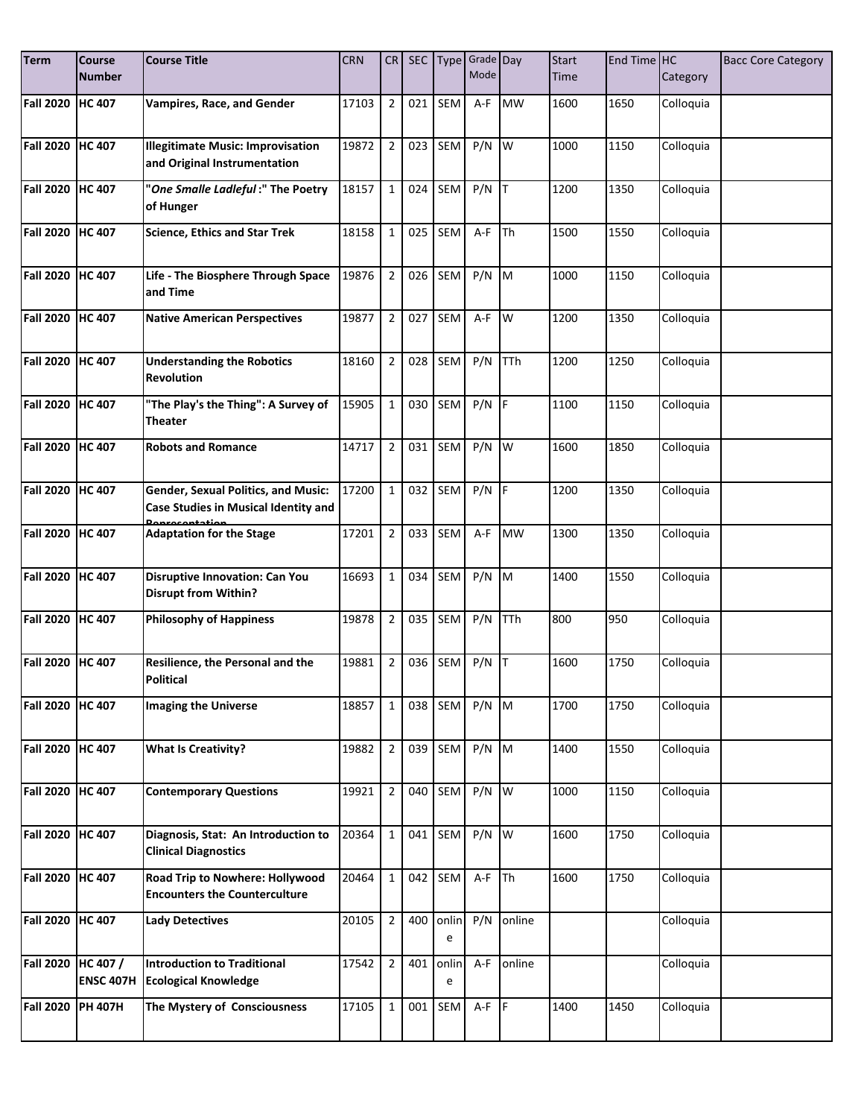| <b>Term</b>      | <b>Course</b>                | <b>Course Title</b>                                                                | <b>CRN</b> | CR             |     |            | SEC Type Grade Day |             | <b>Start</b> | End Time HC |           | <b>Bacc Core Category</b> |
|------------------|------------------------------|------------------------------------------------------------------------------------|------------|----------------|-----|------------|--------------------|-------------|--------------|-------------|-----------|---------------------------|
|                  | <b>Number</b>                |                                                                                    |            |                |     |            | Mode               |             | <b>Time</b>  |             | Category  |                           |
| <b>Fall 2020</b> | <b>HC 407</b>                | <b>Vampires, Race, and Gender</b>                                                  | 17103      | $\overline{2}$ | 021 | SEM        | A-F                | <b>MW</b>   | 1600         | 1650        | Colloquia |                           |
| <b>Fall 2020</b> | <b>HC 407</b>                | <b>Illegitimate Music: Improvisation</b><br>and Original Instrumentation           | 19872      | $\overline{2}$ | 023 | SEM        | P/N                | W           | 1000         | 1150        | Colloquia |                           |
| <b>Fall 2020</b> | <b>HC 407</b>                | "One Smalle Ladleful:" The Poetry<br>of Hunger                                     | 18157      | $\mathbf{1}$   | 024 | SEM        | $P/N$ T            |             | 1200         | 1350        | Colloquia |                           |
| <b>Fall 2020</b> | <b>HC 407</b>                | <b>Science, Ethics and Star Trek</b>                                               | 18158      | $\mathbf{1}$   | 025 | SEM        | A-F                | Th          | 1500         | 1550        | Colloquia |                           |
| <b>Fall 2020</b> | <b>HC 407</b>                | Life - The Biosphere Through Space<br>and Time                                     | 19876      | $\overline{2}$ | 026 | SEM        | $P/N$ M            |             | 1000         | 1150        | Colloquia |                           |
| <b>Fall 2020</b> | <b>HC 407</b>                | <b>Native American Perspectives</b>                                                | 19877      | $\overline{2}$ | 027 | SEM        | A-F                | W           | 1200         | 1350        | Colloquia |                           |
| <b>Fall 2020</b> | <b>HC 407</b>                | <b>Understanding the Robotics</b><br><b>Revolution</b>                             | 18160      | $\overline{2}$ | 028 | SEM        | P/N                | <b>TTh</b>  | 1200         | 1250        | Colloquia |                           |
| <b>Fall 2020</b> | <b>HC 407</b>                | "The Play's the Thing": A Survey of<br>Theater                                     | 15905      | $\mathbf{1}$   | 030 | SEM        | $P/N$ F            |             | 1100         | 1150        | Colloquia |                           |
| <b>Fall 2020</b> | <b>HC 407</b>                | <b>Robots and Romance</b>                                                          | 14717      | $\overline{2}$ | 031 | SEM        | P/N                | <b>Iw</b>   | 1600         | 1850        | Colloquia |                           |
| <b>Fall 2020</b> | <b>HC 407</b>                | <b>Gender, Sexual Politics, and Music:</b><br>Case Studies in Musical Identity and | 17200      | $\mathbf{1}$   | 032 | SEM        | $P/N$ F            |             | 1200         | 1350        | Colloquia |                           |
| <b>Fall 2020</b> | <b>HC 407</b>                | <b>Adaptation for the Stage</b>                                                    | 17201      | $\overline{2}$ | 033 | SEM        | A-F                | <b>MW</b>   | 1300         | 1350        | Colloquia |                           |
| <b>Fall 2020</b> | <b>HC 407</b>                | <b>Disruptive Innovation: Can You</b><br><b>Disrupt from Within?</b>               | 16693      | $\mathbf 1$    | 034 | SEM        | $P/N$ M            |             | 1400         | 1550        | Colloquia |                           |
| <b>Fall 2020</b> | HC 407                       | <b>Philosophy of Happiness</b>                                                     | 19878      | $\overline{2}$ | 035 | SEM        | P/N                | <b>TTh</b>  | 800          | 950         | Colloquia |                           |
| <b>Fall 2020</b> | <b>HC 407</b>                | Resilience, the Personal and the<br><b>Political</b>                               | 19881      | $\overline{2}$ | 036 | SEM        | P/N                | IТ          | 1600         | 1750        | Colloquia |                           |
| <b>Fall 2020</b> | <b>HC 407</b>                | <b>Imaging the Universe</b>                                                        | 18857      | $\mathbf{1}$   | 038 | SEM        | $P/N$ M            |             | 1700         | 1750        | Colloquia |                           |
| <b>Fall 2020</b> | <b>HC 407</b>                | <b>What Is Creativity?</b>                                                         | 19882      | $\overline{2}$ | 039 | SEM        | $P/N$ M            |             | 1400         | 1550        | Colloquia |                           |
| <b>Fall 2020</b> | <b>HC 407</b>                | <b>Contemporary Questions</b>                                                      | 19921      | $\overline{2}$ | 040 | SEM        | $P/N$ W            |             | 1000         | 1150        | Colloquia |                           |
| <b>Fall 2020</b> | <b>HC 407</b>                | Diagnosis, Stat: An Introduction to<br><b>Clinical Diagnostics</b>                 | 20364      | $\mathbf{1}$   | 041 | SEM        | $P/N$ W            |             | 1600         | 1750        | Colloquia |                           |
| <b>Fall 2020</b> | <b>HC 407</b>                | Road Trip to Nowhere: Hollywood<br><b>Encounters the Counterculture</b>            | 20464      | $\mathbf{1}$   | 042 | SEM        | A-F                | <b>I</b> Th | 1600         | 1750        | Colloquia |                           |
| <b>Fall 2020</b> | <b>HC 407</b>                | <b>Lady Detectives</b>                                                             | 20105      | $\overline{2}$ | 400 | onlin<br>e | P/N                | online      |              |             | Colloquia |                           |
| <b>Fall 2020</b> | HC 407 /<br><b>ENSC 407H</b> | <b>Introduction to Traditional</b><br><b>Ecological Knowledge</b>                  | 17542      | $\overline{2}$ | 401 | onlin<br>e | A-F                | online      |              |             | Colloquia |                           |
| <b>Fall 2020</b> | <b>PH 407H</b>               | The Mystery of Consciousness                                                       | 17105      | $\mathbf{1}$   | 001 | SEM        | $A-F$ $F$          |             | 1400         | 1450        | Colloquia |                           |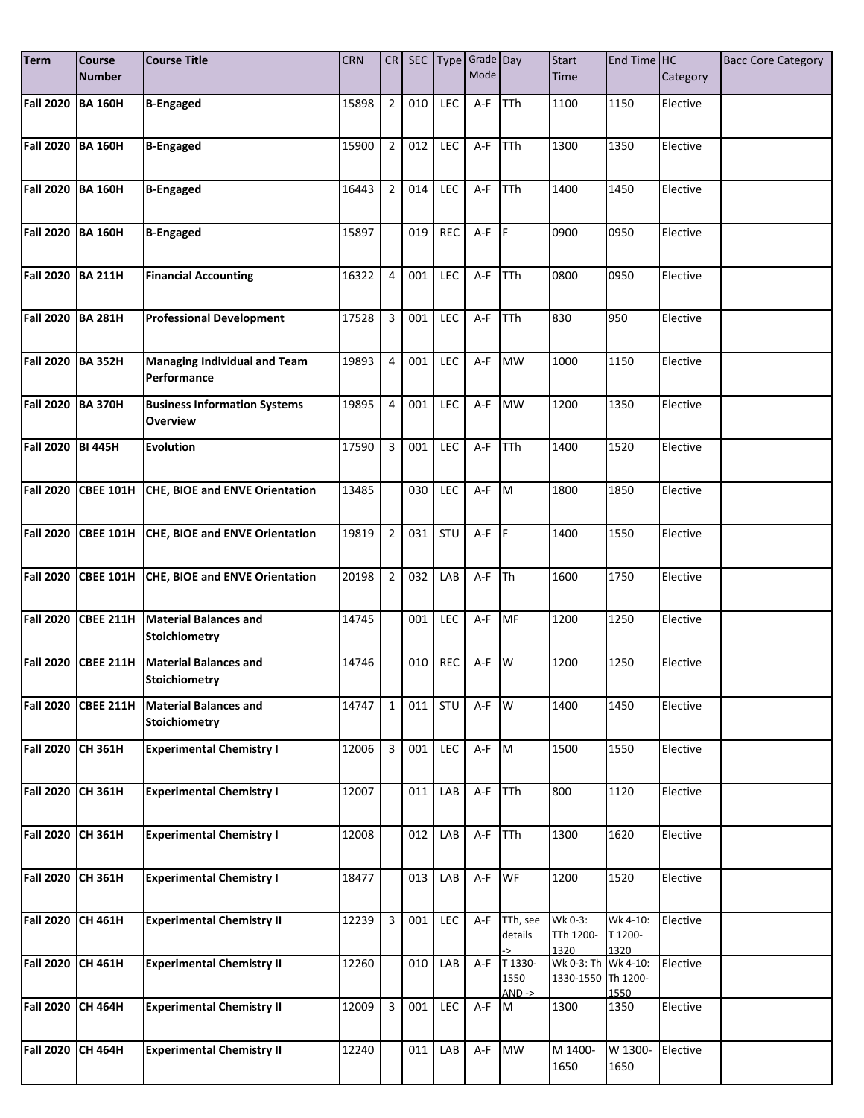| <b>Term</b>       | Course<br><b>Number</b> | <b>Course Title</b>                                    | <b>CRN</b> | CR             |     |            | SEC Type Grade Day<br>Mode |                             | <b>Start</b><br><b>Time</b>               | End Time HC                 | Category | <b>Bacc Core Category</b> |
|-------------------|-------------------------|--------------------------------------------------------|------------|----------------|-----|------------|----------------------------|-----------------------------|-------------------------------------------|-----------------------------|----------|---------------------------|
|                   |                         |                                                        |            |                |     |            |                            |                             |                                           |                             |          |                           |
| <b>Fall 2020</b>  | <b>BA 160H</b>          | <b>B-Engaged</b>                                       | 15898      | $\overline{2}$ | 010 | <b>LEC</b> | A-F                        | <b>TTh</b>                  | 1100                                      | 1150                        | Elective |                           |
| <b>Fall 2020</b>  | <b>BA 160H</b>          | <b>B-Engaged</b>                                       | 15900      | $\overline{2}$ | 012 | LEC        | A-F                        | <b>TTh</b>                  | 1300                                      | 1350                        | Elective |                           |
| <b>Fall 2020</b>  | <b>BA 160H</b>          | <b>B-Engaged</b>                                       | 16443      | $\overline{2}$ | 014 | LEC        | A-F                        | TTh                         | 1400                                      | 1450                        | Elective |                           |
| <b>Fall 2020</b>  | <b>BA 160H</b>          | <b>B-Engaged</b>                                       | 15897      |                | 019 | <b>REC</b> | $A-F$ $F$                  |                             | 0900                                      | 0950                        | Elective |                           |
| <b>Fall 2020</b>  | <b>BA 211H</b>          | <b>Financial Accounting</b>                            | 16322      | $\overline{4}$ | 001 | LEC        | A-F                        | TTh                         | 0800                                      | 0950                        | Elective |                           |
| <b>Fall 2020</b>  | <b>BA 281H</b>          | <b>Professional Development</b>                        | 17528      | 3              | 001 | LEC        | A-F                        | TTh                         | 830                                       | 950                         | Elective |                           |
| <b>Fall 2020</b>  | <b>BA 352H</b>          | <b>Managing Individual and Team</b><br>Performance     | 19893      | $\overline{4}$ | 001 | LEC        | A-F                        | <b>MW</b>                   | 1000                                      | 1150                        | Elective |                           |
| <b>Fall 2020</b>  | <b>BA 370H</b>          | <b>Business Information Systems</b><br><b>Overview</b> | 19895      | $\overline{4}$ | 001 | <b>LEC</b> |                            | A-F MW                      | 1200                                      | 1350                        | Elective |                           |
| Fall 2020 BI 445H |                         | <b>Evolution</b>                                       | 17590      | 3              | 001 | LEC        | A-F                        | TTh                         | 1400                                      | 1520                        | Elective |                           |
| <b>Fall 2020</b>  | <b>CBEE 101H</b>        | CHE, BIOE and ENVE Orientation                         | 13485      |                | 030 | <b>LEC</b> | $A-F$ M                    |                             | 1800                                      | 1850                        | Elective |                           |
|                   | Fall 2020 CBEE 101H     | CHE, BIOE and ENVE Orientation                         | 19819      | $\overline{2}$ | 031 | STU        | $A-F$ $F$                  |                             | 1400                                      | 1550                        | Elective |                           |
| <b>Fall 2020</b>  | <b>CBEE 101H</b>        | CHE, BIOE and ENVE Orientation                         | 20198      | $\overline{2}$ | 032 | LAB        | A-F                        | Th                          | 1600                                      | 1750                        | Elective |                           |
| <b>Fall 2020</b>  | CBEE 211H               | <b>Material Balances and</b><br><b>Stoichiometry</b>   | 14745      |                | 001 | LEC        | A-F                        | MF                          | 1200                                      | 1250                        | Elective |                           |
| <b>Fall 2020</b>  | <b>CBEE 211H</b>        | <b>Material Balances and</b><br><b>Stoichiometry</b>   | 14746      |                | 010 | <b>REC</b> | A-F                        | W                           | 1200                                      | 1250                        | Elective |                           |
| <b>Fall 2020</b>  | <b>CBEE 211H</b>        | <b>Material Balances and</b><br>Stoichiometry          | 14747      | $\mathbf{1}$   | 011 | STU        | A-F                        | W                           | 1400                                      | 1450                        | Elective |                           |
| <b>Fall 2020</b>  | CH 361H                 | <b>Experimental Chemistry I</b>                        | 12006      | 3              | 001 | LEC        | $A-F$ M                    |                             | 1500                                      | 1550                        | Elective |                           |
| <b>Fall 2020</b>  | <b>CH 361H</b>          | <b>Experimental Chemistry I</b>                        | 12007      |                | 011 | LAB        | A-F                        | <b>TTh</b>                  | 800                                       | 1120                        | Elective |                           |
| <b>Fall 2020</b>  | CH 361H                 | <b>Experimental Chemistry I</b>                        | 12008      |                | 012 | LAB        | $A-F$                      | <b>TTh</b>                  | 1300                                      | 1620                        | Elective |                           |
| <b>Fall 2020</b>  | <b>CH 361H</b>          | <b>Experimental Chemistry I</b>                        | 18477      |                | 013 | LAB        | A-F                        | WF                          | 1200                                      | 1520                        | Elective |                           |
| <b>Fall 2020</b>  | <b>CH 461H</b>          | <b>Experimental Chemistry II</b>                       | 12239      | 3              | 001 | LEC        | A-F                        | TTh, see<br>details         | $Wk 0-3$ :<br>TTh 1200-<br>1320           | Wk 4-10:<br>T 1200-<br>1320 | Elective |                           |
| <b>Fall 2020</b>  | CH 461H                 | <b>Experimental Chemistry II</b>                       | 12260      |                | 010 | LAB        | A-F                        | T 1330-<br>1550<br>$AND ->$ | Wk 0-3: Th Wk 4-10:<br>1330-1550 Th 1200- | 1550                        | Elective |                           |
| <b>Fall 2020</b>  | <b>CH 464H</b>          | <b>Experimental Chemistry II</b>                       | 12009      | 3              | 001 | LEC        | A-F M                      |                             | 1300                                      | 1350                        | Elective |                           |
| <b>Fall 2020</b>  | <b>CH 464H</b>          | <b>Experimental Chemistry II</b>                       | 12240      |                | 011 | LAB        |                            | A-F MW                      | M 1400-<br>1650                           | W 1300-<br>1650             | Elective |                           |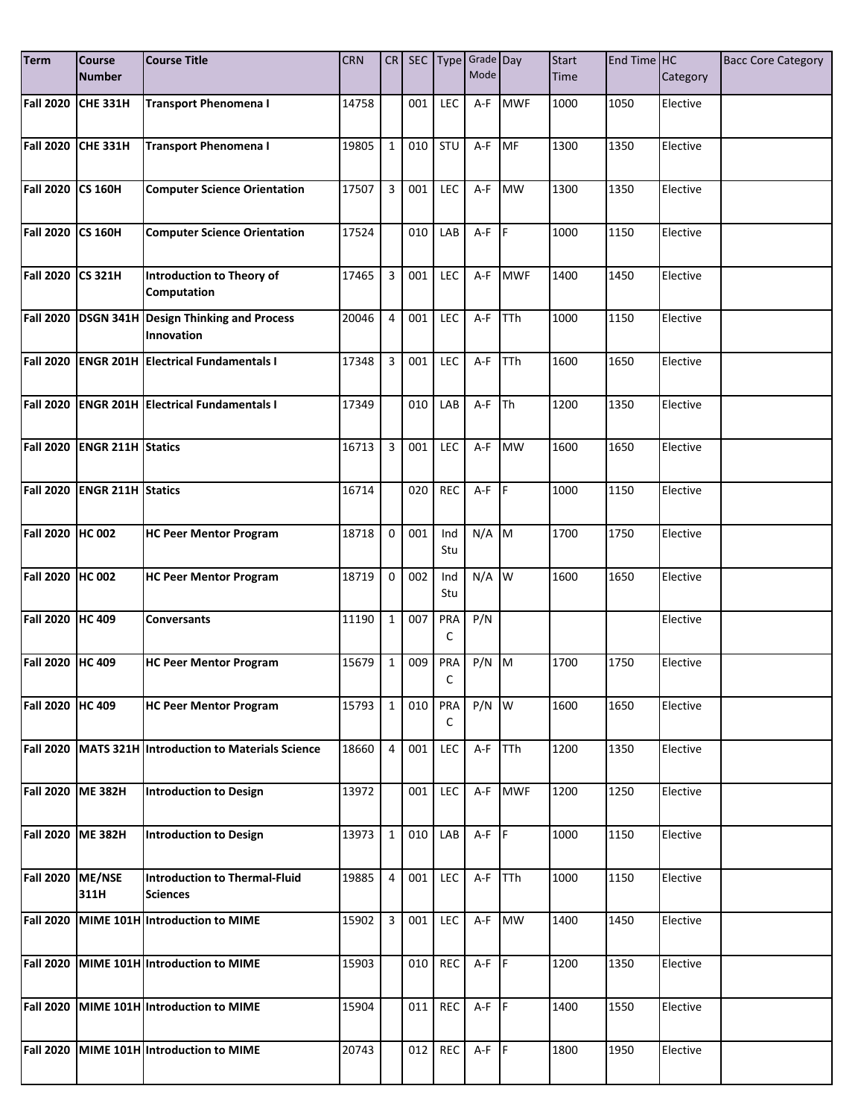| <b>Term</b>      | Course<br><b>Number</b>  | <b>Course Title</b>                                        | <b>CRN</b> | CR             |     |            | SEC Type Grade Day<br>Mode |            | <b>Start</b><br><b>Time</b> | End Time HC | Category | <b>Bacc Core Category</b> |
|------------------|--------------------------|------------------------------------------------------------|------------|----------------|-----|------------|----------------------------|------------|-----------------------------|-------------|----------|---------------------------|
|                  |                          |                                                            |            |                |     |            |                            |            |                             |             |          |                           |
| <b>Fall 2020</b> | <b>CHE 331H</b>          | <b>Transport Phenomena I</b>                               | 14758      |                | 001 | <b>LEC</b> | A-F                        | <b>MWF</b> | 1000                        | 1050        | Elective |                           |
| <b>Fall 2020</b> | <b>CHE 331H</b>          | <b>Transport Phenomena I</b>                               | 19805      | $\mathbf{1}$   | 010 | STU        | A-F                        | <b>MF</b>  | 1300                        | 1350        | Elective |                           |
| <b>Fall 2020</b> | <b>CS 160H</b>           | <b>Computer Science Orientation</b>                        | 17507      | 3              | 001 | LEC        | A-F                        | <b>MW</b>  | 1300                        | 1350        | Elective |                           |
| <b>Fall 2020</b> | <b>CS 160H</b>           | <b>Computer Science Orientation</b>                        | 17524      |                | 010 | LAB        | $A-F$ $F$                  |            | 1000                        | 1150        | Elective |                           |
| <b>Fall 2020</b> | <b>CS 321H</b>           | Introduction to Theory of<br>Computation                   | 17465      | 3              | 001 | LEC        | A-F                        | <b>MWF</b> | 1400                        | 1450        | Elective |                           |
| <b>Fall 2020</b> |                          | <b>DSGN 341H Design Thinking and Process</b><br>Innovation | 20046      | $\overline{4}$ | 001 | LEC        | A-F                        | TTh        | 1000                        | 1150        | Elective |                           |
| <b>Fall 2020</b> |                          | <b>ENGR 201H Electrical Fundamentals I</b>                 | 17348      | $\overline{3}$ | 001 | LEC        | $A-F$                      | TTh        | 1600                        | 1650        | Elective |                           |
| <b>Fall 2020</b> |                          | <b>ENGR 201H Electrical Fundamentals I</b>                 | 17349      |                | 010 | LAB        | A-F                        | <b>Th</b>  | 1200                        | 1350        | Elective |                           |
| <b>Fall 2020</b> | <b>ENGR 211H Statics</b> |                                                            | 16713      | $\overline{3}$ | 001 | LEC        | A-F                        | <b>MW</b>  | 1600                        | 1650        | Elective |                           |
| <b>Fall 2020</b> | <b>ENGR 211H Statics</b> |                                                            | 16714      |                | 020 | <b>REC</b> | $A-F$ $F$                  |            | 1000                        | 1150        | Elective |                           |
| <b>Fall 2020</b> | <b>HC 002</b>            | <b>HC Peer Mentor Program</b>                              | 18718      | $\mathbf 0$    | 001 | Ind<br>Stu | $N/A$ M                    |            | 1700                        | 1750        | Elective |                           |
| <b>Fall 2020</b> | <b>HC 002</b>            | <b>HC Peer Mentor Program</b>                              | 18719      | $\mathbf 0$    | 002 | Ind<br>Stu | N/A                        | W          | 1600                        | 1650        | Elective |                           |
| <b>Fall 2020</b> | <b>HC 409</b>            | <b>Conversants</b>                                         | 11190      | $\mathbf{1}$   | 007 | PRA<br>C   | P/N                        |            |                             |             | Elective |                           |
| <b>Fall 2020</b> | <b>HC 409</b>            | <b>HC Peer Mentor Program</b>                              | 15679      | $\mathbf{1}$   | 009 | PRA<br>C   | P/N                        | M          | 1700                        | 1750        | Elective |                           |
| <b>Fall 2020</b> | <b>HC 409</b>            | <b>HC Peer Mentor Program</b>                              | 15793      | $\mathbf{1}$   | 010 | PRA<br>C   | $P/N$ W                    |            | 1600                        | 1650        | Elective |                           |
| <b>Fall 2020</b> |                          | MATS 321H Introduction to Materials Science                | 18660      | 4              | 001 | LEC        | A-F                        | <b>TTh</b> | 1200                        | 1350        | Elective |                           |
| <b>Fall 2020</b> | <b>ME 382H</b>           | Introduction to Design                                     | 13972      |                | 001 | <b>LEC</b> | A-F                        | <b>MWF</b> | 1200                        | 1250        | Elective |                           |
| <b>Fall 2020</b> | <b>ME 382H</b>           | Introduction to Design                                     | 13973      | $\mathbf{1}$   | 010 | LAB        | $A-F$ $F$                  |            | 1000                        | 1150        | Elective |                           |
| <b>Fall 2020</b> | ME/NSE<br>311H           | Introduction to Thermal-Fluid<br><b>Sciences</b>           | 19885      | $\overline{4}$ | 001 | <b>LEC</b> | $A-F$                      | <b>TTh</b> | 1000                        | 1150        | Elective |                           |
| <b>Fall 2020</b> |                          | MIME 101H Introduction to MIME                             | 15902      | 3              | 001 | <b>LEC</b> |                            | A-F MW     | 1400                        | 1450        | Elective |                           |
| <b>Fall 2020</b> |                          | MIME 101H Introduction to MIME                             | 15903      |                | 010 | <b>REC</b> | $A-F$ $F$                  |            | 1200                        | 1350        | Elective |                           |
| <b>Fall 2020</b> |                          | MIME 101H Introduction to MIME                             | 15904      |                | 011 | REC        | $A-F$ $F$                  |            | 1400                        | 1550        | Elective |                           |
| <b>Fall 2020</b> |                          | MIME 101H Introduction to MIME                             | 20743      |                | 012 | REC        | $A-F$ $F$                  |            | 1800                        | 1950        | Elective |                           |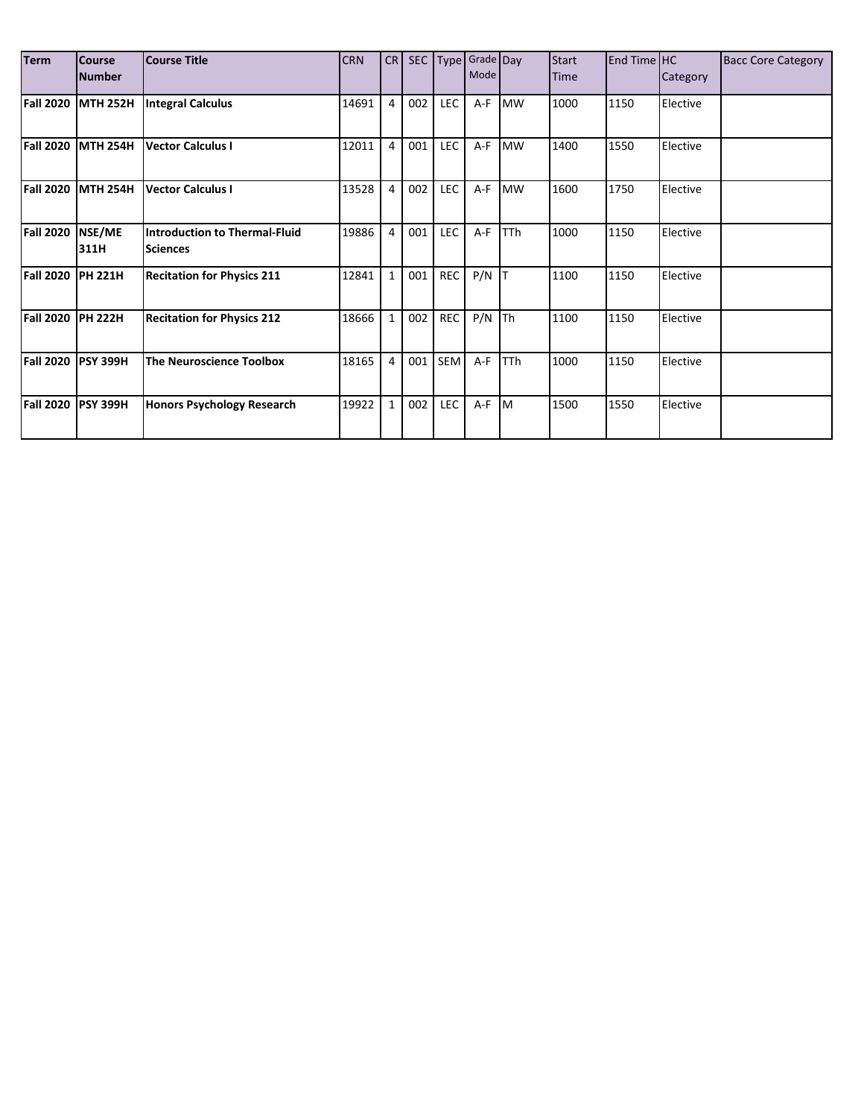| <b>Term</b>      | <b>Course</b><br><b>Number</b> | <b>Course Title</b>                              | <b>CRN</b> | CR             |     |            | SEC Type Grade Day<br>Mode |            | <b>Start</b><br>Time | End Time HC | Category | <b>Bacc Core Category</b> |
|------------------|--------------------------------|--------------------------------------------------|------------|----------------|-----|------------|----------------------------|------------|----------------------|-------------|----------|---------------------------|
| <b>Fall 2020</b> | <b>MTH 252H</b>                | <b>Integral Calculus</b>                         | 14691      | $\overline{4}$ | 002 | <b>LEC</b> | A-F                        | <b>MW</b>  | 1000                 | 1150        | Elective |                           |
| <b>Fall 2020</b> | <b>MTH 254H</b>                | <b>Vector Calculus I</b>                         | 12011      | $\overline{4}$ | 001 | LEC        | A-F                        | <b>MW</b>  | 1400                 | 1550        | Elective |                           |
| <b>Fall 2020</b> | <b>MTH 254H</b>                | Vector Calculus I                                | 13528      | $\overline{4}$ | 002 | <b>LEC</b> | $A-F$                      | <b>MW</b>  | 1600                 | 1750        | Elective |                           |
| <b>Fall 2020</b> | NSE/ME<br>311H                 | Introduction to Thermal-Fluid<br><b>Sciences</b> | 19886      | $\overline{4}$ | 001 | LEC        | A-F                        | <b>TTh</b> | 1000                 | 1150        | Elective |                           |
| <b>Fall 2020</b> | <b>PH 221H</b>                 | <b>Recitation for Physics 211</b>                | 12841      | $\mathbf{1}$   | 001 | REC        | $P/N$ T                    |            | 1100                 | 1150        | Elective |                           |
| <b>Fall 2020</b> | <b>PH 222H</b>                 | <b>Recitation for Physics 212</b>                | 18666      | $\mathbf{1}$   | 002 | <b>REC</b> | $P/N$ Th                   |            | 1100                 | 1150        | Elective |                           |
| <b>Fall 2020</b> | <b>PSY 399H</b>                | The Neuroscience Toolbox                         | 18165      | $\overline{4}$ | 001 | SEM        | A-F                        | <b>TTh</b> | 1000                 | 1150        | Elective |                           |
| <b>Fall 2020</b> | <b>PSY 399H</b>                | Honors Psychology Research                       | 19922      | $\mathbf{1}$   | 002 | LEC        | A-F M                      |            | 1500                 | 1550        | Elective |                           |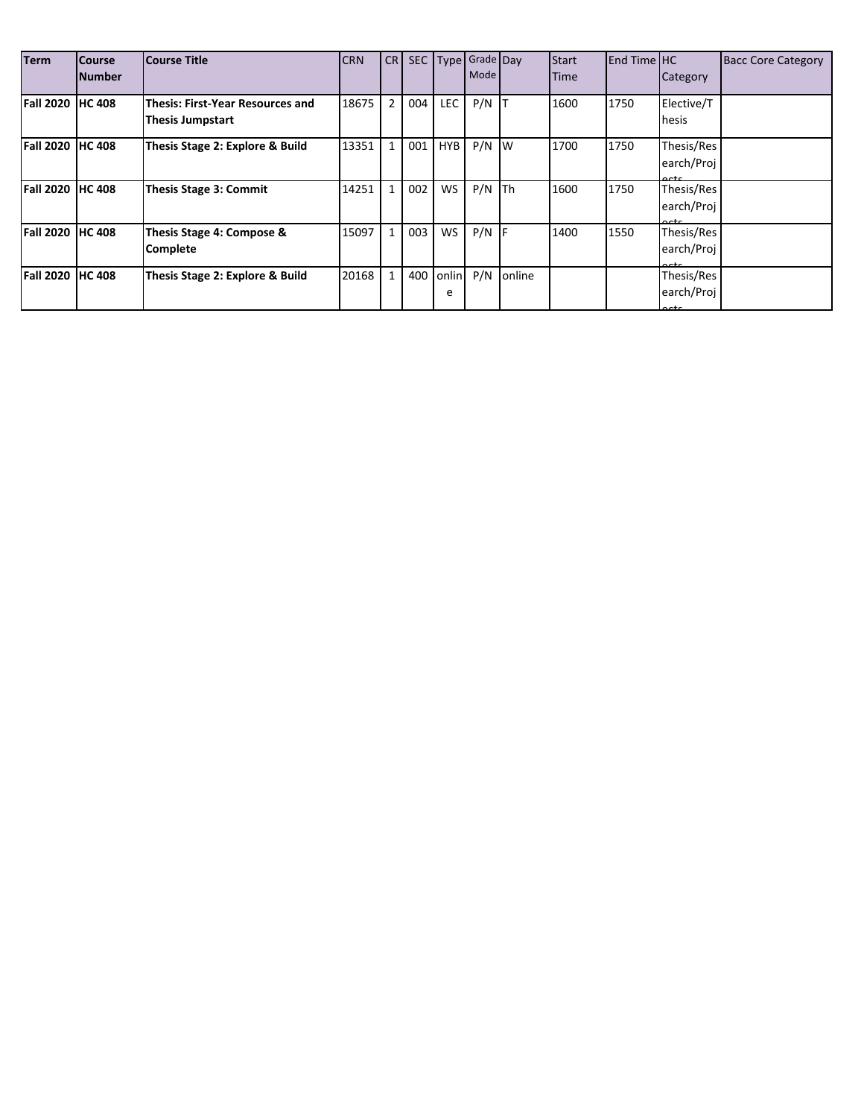| <b>Term</b>             | <b>Course</b><br><b>Number</b> | Course Title                                                 | <b>CRN</b> | CR I           | SEC |            | Type Grade Day<br>Mode |        | <b>Start</b><br><b>Time</b> | <b>End Time HC</b> | Category                                    | <b>Bacc Core Category</b> |
|-------------------------|--------------------------------|--------------------------------------------------------------|------------|----------------|-----|------------|------------------------|--------|-----------------------------|--------------------|---------------------------------------------|---------------------------|
| <b>Fall 2020 HC 408</b> |                                | lThesis: First-Year Resources and<br><b>Thesis Jumpstart</b> | 18675      | $\overline{2}$ | 004 | <b>LEC</b> | $P/N$ T                |        | 1600                        | 1750               | Elective/T<br>hesis                         |                           |
| <b>Fall 2020</b>        | <b>HC 408</b>                  | Thesis Stage 2: Explore & Build                              | 13351      |                | 001 | <b>HYB</b> | $P/N$ W                |        | 1700                        | 1750               | Thesis/Res<br>earch/Proj<br>$\sim$          |                           |
| <b>Fall 2020</b>        | <b>HC 408</b>                  | Thesis Stage 3: Commit                                       | 14251      |                | 002 | WS         | $P/N$ Th               |        | 1600                        | 1750               | Thesis/Res<br>earch/Proj<br>$\sim$          |                           |
| <b>Fall 2020 HC 408</b> |                                | Thesis Stage 4: Compose &<br><b>Complete</b>                 | 15097      |                | 003 | <b>WS</b>  | $P/N$  F               |        | 1400                        | 1550               | Thesis/Res<br>earch/Proj<br>$\sim$ + $\sim$ |                           |
| <b>Fall 2020 HC 408</b> |                                | Thesis Stage 2: Explore & Build                              | 20168      |                | 400 | onlin<br>e | P/N                    | online |                             |                    | Thesis/Res<br>earch/Proj<br>$\sim$ tc       |                           |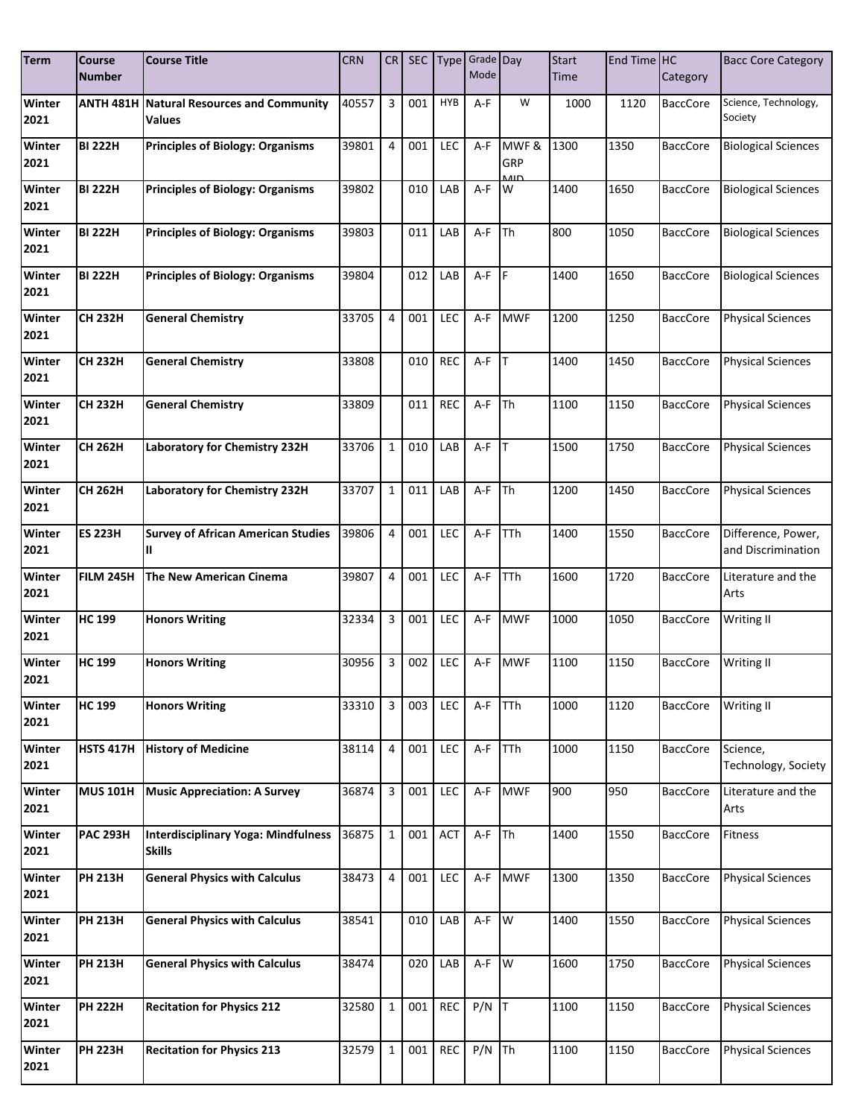| <b>Term</b>    | <b>Course</b><br><b>Number</b> | <b>Course Title</b>                                         | <b>CRN</b> | CR           | SEC |                  | Type Grade Day<br>Mode |             | <b>Start</b><br>Time | End Time HC | Category        | <b>Bacc Core Category</b>                |
|----------------|--------------------------------|-------------------------------------------------------------|------------|--------------|-----|------------------|------------------------|-------------|----------------------|-------------|-----------------|------------------------------------------|
|                |                                |                                                             |            |              |     |                  |                        |             |                      |             |                 |                                          |
| Winter<br>2021 | <b>ANTH 481H</b>               | <b>Natural Resources and Community</b><br>Values            | 40557      | 3            | 001 | <b>HYB</b>       | A-F                    | W           | 1000                 | 1120        | <b>BaccCore</b> | Science, Technology,<br>Society          |
| Winter<br>2021 | <b>BI 222H</b>                 | <b>Principles of Biology: Organisms</b>                     | 39801      | 4            | 001 | LEC              | $A-F$                  | MWF&<br>GRP | 1300                 | 1350        | <b>BaccCore</b> | <b>Biological Sciences</b>               |
| Winter<br>2021 | <b>BI 222H</b>                 | <b>Principles of Biology: Organisms</b>                     | 39802      |              | 010 | LAB              | A-F                    | منه<br>W    | 1400                 | 1650        | <b>BaccCore</b> | <b>Biological Sciences</b>               |
| Winter<br>2021 | <b>BI 222H</b>                 | <b>Principles of Biology: Organisms</b>                     | 39803      |              | 011 | LAB              | A-F                    | Th          | 800                  | 1050        | <b>BaccCore</b> | <b>Biological Sciences</b>               |
| Winter<br>2021 | <b>BI 222H</b>                 | <b>Principles of Biology: Organisms</b>                     | 39804      |              | 012 | LAB              | A-F                    | F           | 1400                 | 1650        | <b>BaccCore</b> | <b>Biological Sciences</b>               |
| Winter<br>2021 | <b>CH 232H</b>                 | <b>General Chemistry</b>                                    | 33705      | 4            | 001 | LEC              | A-F                    | <b>MWF</b>  | 1200                 | 1250        | <b>BaccCore</b> | <b>Physical Sciences</b>                 |
| Winter         | <b>CH 232H</b>                 | <b>General Chemistry</b>                                    | 33808      |              | 010 | <b>REC</b>       | $A-F$ $T$              |             | 1400                 | 1450        | <b>BaccCore</b> | <b>Physical Sciences</b>                 |
| 2021<br>Winter | <b>CH 232H</b>                 | <b>General Chemistry</b>                                    | 33809      |              | 011 | <b>REC</b>       | $A-F$ Th               |             | 1100                 | 1150        | <b>BaccCore</b> | <b>Physical Sciences</b>                 |
| 2021<br>Winter | <b>CH 262H</b>                 | Laboratory for Chemistry 232H                               | 33706      | $\mathbf{1}$ | 010 | LAB              | $A-F$ T                |             | 1500                 | 1750        | <b>BaccCore</b> | <b>Physical Sciences</b>                 |
| 2021           |                                |                                                             |            |              |     |                  |                        |             |                      |             |                 |                                          |
| Winter<br>2021 | <b>CH 262H</b>                 | Laboratory for Chemistry 232H                               | 33707      | $\mathbf{1}$ | 011 | LAB              | A-F                    | Th          | 1200                 | 1450        | <b>BaccCore</b> | <b>Physical Sciences</b>                 |
| Winter<br>2021 | <b>ES 223H</b>                 | <b>Survey of African American Studies</b><br>Ш              | 39806      | 4            | 001 | LEC              | A-F                    | TTh         | 1400                 | 1550        | <b>BaccCore</b> | Difference, Power,<br>and Discrimination |
| Winter<br>2021 | <b>FILM 245H</b>               | The New American Cinema                                     | 39807      | 4            | 001 | LEC              | A-F                    | TTh         | 1600                 | 1720        | <b>BaccCore</b> | Literature and the<br>Arts               |
| Winter<br>2021 | <b>HC 199</b>                  | <b>Honors Writing</b>                                       | 32334      | 3            | 001 | LEC              | A-F                    | <b>MWF</b>  | 1000                 | 1050        | <b>BaccCore</b> | Writing II                               |
| Winter<br>2021 | <b>HC 199</b>                  | <b>Honors Writing</b>                                       | 30956      | 3            | 002 | LEC              | A-F                    | <b>MWF</b>  | 1100                 | 1150        | <b>BaccCore</b> | Writing II                               |
| Winter<br>2021 | <b>HC 199</b>                  | <b>Honors Writing</b>                                       | 33310      | 3            | 003 | LEC              | A-F                    | TTh         | 1000                 | 1120        | <b>BaccCore</b> | <b>Writing II</b>                        |
| Winter<br>2021 | <b>HSTS 417H</b>               | <b>History of Medicine</b>                                  | 38114      | 4            | 001 | LEC              | A-F                    | <b>TTh</b>  | 1000                 | 1150        | <b>BaccCore</b> | Science,<br>Technology, Society          |
| Winter<br>2021 | <b>MUS 101H</b>                | <b>Music Appreciation: A Survey</b>                         | 36874      | 3            | 001 | LEC              | A-F                    | <b>MWF</b>  | 900                  | 950         | <b>BaccCore</b> | Literature and the<br>Arts               |
| Winter<br>2021 | <b>PAC 293H</b>                | <b>Interdisciplinary Yoga: Mindfulness</b><br><b>Skills</b> | 36875      | $\mathbf{1}$ | 001 | <b>ACT</b>       | $A-F$ Th               |             | 1400                 | 1550        | <b>BaccCore</b> | Fitness                                  |
| Winter<br>2021 | <b>PH 213H</b>                 | <b>General Physics with Calculus</b>                        | 38473      | 4            | 001 | LEC              | A-F                    | <b>MWF</b>  | 1300                 | 1350        | <b>BaccCore</b> | <b>Physical Sciences</b>                 |
| Winter<br>2021 | <b>PH 213H</b>                 | <b>General Physics with Calculus</b>                        | 38541      |              | 010 | LAB              | A-F W                  |             | 1400                 | 1550        | <b>BaccCore</b> | <b>Physical Sciences</b>                 |
| Winter<br>2021 | <b>PH 213H</b>                 | <b>General Physics with Calculus</b>                        | 38474      |              | 020 | LAB              | $A-F$ $W$              |             | 1600                 | 1750        | <b>BaccCore</b> | <b>Physical Sciences</b>                 |
| Winter<br>2021 | <b>PH 222H</b>                 | <b>Recitation for Physics 212</b>                           | 32580      | $\mathbf{1}$ | 001 | REC <sup>I</sup> | $P/N$ T                |             | 1100                 | 1150        | <b>BaccCore</b> | <b>Physical Sciences</b>                 |
| Winter<br>2021 | <b>PH 223H</b>                 | <b>Recitation for Physics 213</b>                           | 32579      | $\mathbf{1}$ | 001 | REC              | $P/N$ Th               |             | 1100                 | 1150        | <b>BaccCore</b> | <b>Physical Sciences</b>                 |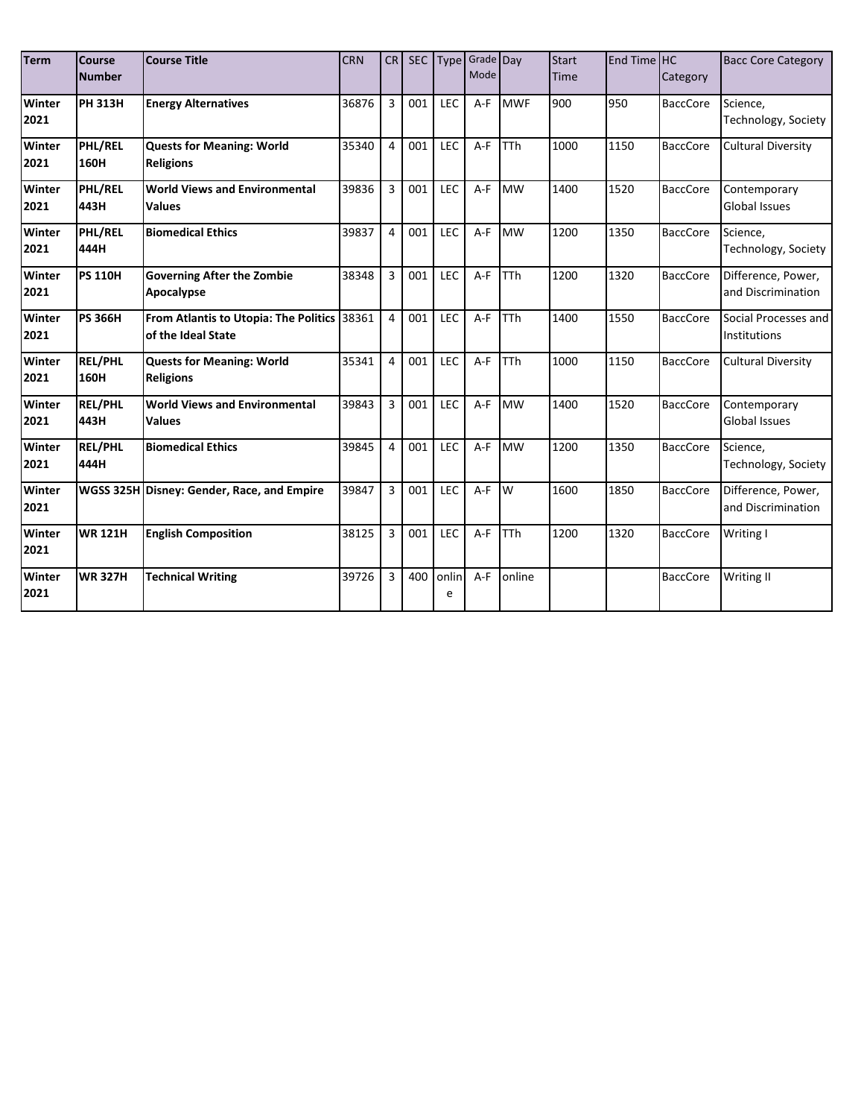| <b>Term</b>           | Course<br><b>Number</b> | <b>Course Title</b>                                               | <b>CRN</b> | <b>CR</b>      | <b>SEC</b> | <b>Type</b> | Grade Day<br>Mode |            | <b>Start</b><br><b>Time</b> | End Time HC | Category        | <b>Bacc Core Category</b>                |
|-----------------------|-------------------------|-------------------------------------------------------------------|------------|----------------|------------|-------------|-------------------|------------|-----------------------------|-------------|-----------------|------------------------------------------|
| Winter<br>2021        | <b>PH 313H</b>          | <b>Energy Alternatives</b>                                        | 36876      | $\overline{3}$ | 001        | LEC         | $A-F$             | <b>MWF</b> | 900                         | 950         | <b>BaccCore</b> | Science,<br>Technology, Society          |
| Winter<br>2021        | PHL/REL<br>160H         | <b>Quests for Meaning: World</b><br><b>Religions</b>              | 35340      | 4              | 001        | LEC         | $A-F$             | <b>TTh</b> | 1000                        | 1150        | <b>BaccCore</b> | <b>Cultural Diversity</b>                |
| Winter<br>2021        | PHL/REL<br>443H         | <b>World Views and Environmental</b><br><b>Values</b>             | 39836      | 3              | 001        | LEC         | $A-F$             | <b>MW</b>  | 1400                        | 1520        | <b>BaccCore</b> | Contemporary<br><b>Global Issues</b>     |
| Winter<br>2021        | PHL/REL<br>444H         | <b>Biomedical Ethics</b>                                          | 39837      | $\overline{4}$ | 001        | LEC         | $A-F$             | <b>MW</b>  | 1200                        | 1350        | <b>BaccCore</b> | Science,<br>Technology, Society          |
| Winter<br>2021        | <b>PS 110H</b>          | <b>Governing After the Zombie</b><br>Apocalypse                   | 38348      | 3              | 001        | LEC         | $A-F$             | TTh        | 1200                        | 1320        | <b>BaccCore</b> | Difference, Power,<br>and Discrimination |
| Winter<br>2021        | <b>PS 366H</b>          | From Atlantis to Utopia: The Politics 38361<br>of the Ideal State |            | 4              | 001        | LEC         | $A-F$             | <b>TTh</b> | 1400                        | 1550        | <b>BaccCore</b> | Social Processes and<br>Institutions     |
| Winter<br>2021        | <b>REL/PHL</b><br>160H  | <b>Quests for Meaning: World</b><br><b>Religions</b>              | 35341      | 4              | 001        | LEC         | $A-F$             | <b>TTh</b> | 1000                        | 1150        | <b>BaccCore</b> | <b>Cultural Diversity</b>                |
| Winter<br>2021        | <b>REL/PHL</b><br>443H  | <b>World Views and Environmental</b><br><b>Values</b>             | 39843      | 3              | 001        | LEC         | $A-F$             | <b>MW</b>  | 1400                        | 1520        | <b>BaccCore</b> | Contemporary<br><b>Global Issues</b>     |
| <b>Winter</b><br>2021 | <b>REL/PHL</b><br>444H  | <b>Biomedical Ethics</b>                                          | 39845      | 4              | 001        | LEC         | $A-F$             | <b>MW</b>  | 1200                        | 1350        | <b>BaccCore</b> | Science,<br>Technology, Society          |
| Winter<br>2021        |                         | WGSS 325H Disney: Gender, Race, and Empire                        | 39847      | 3              | 001        | LEC         | $A-F$             | W          | 1600                        | 1850        | <b>BaccCore</b> | Difference, Power,<br>and Discrimination |
| Winter<br>2021        | <b>WR 121H</b>          | <b>English Composition</b>                                        | 38125      | 3              | 001        | LEC         | A-F               | <b>TTh</b> | 1200                        | 1320        | <b>BaccCore</b> | Writing I                                |
| Winter<br>2021        | <b>WR 327H</b>          | <b>Technical Writing</b>                                          | 39726      | 3              | 400        | onlin<br>e  | $A-F$             | online     |                             |             | <b>BaccCore</b> | <b>Writing II</b>                        |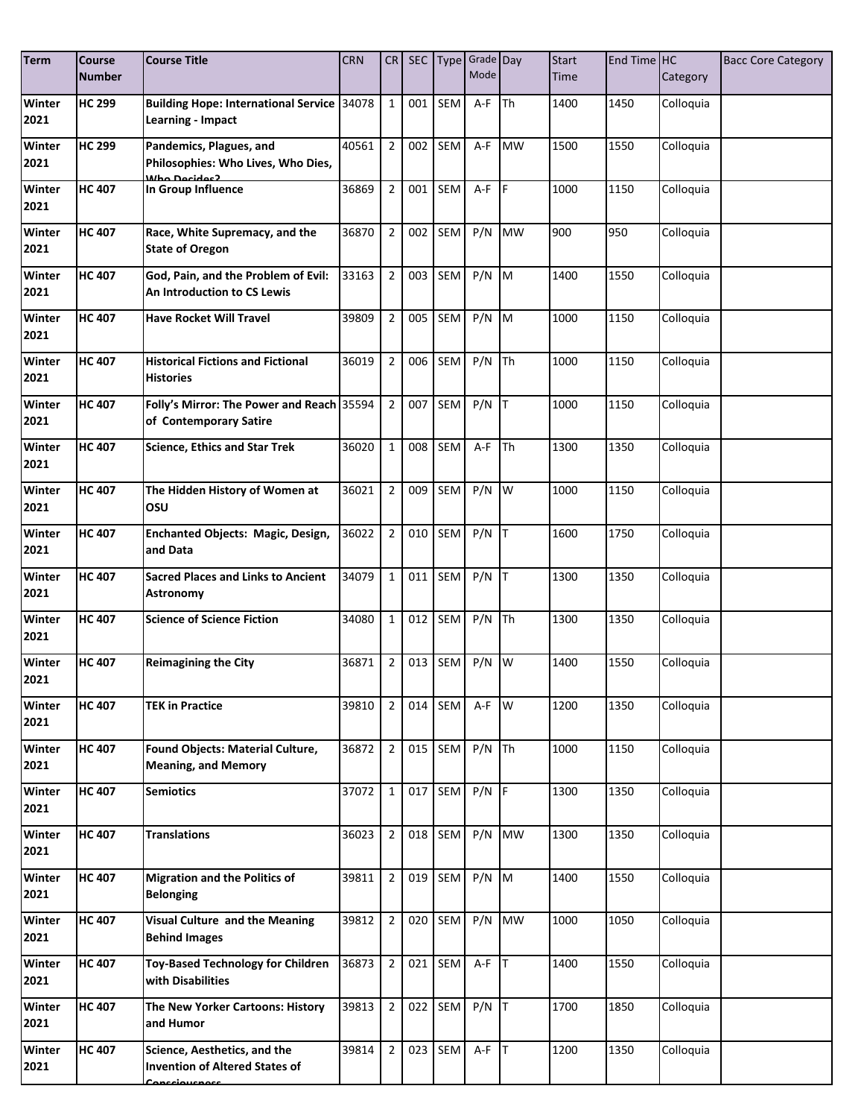| <b>Term</b>    | <b>Course</b><br><b>Number</b> | <b>Course Title</b>                                                                    | <b>CRN</b> | CR             | <b>SEC</b> | <b>Type</b> | Grade Day<br>Mode |                         | <b>Start</b><br>Time | End Time <sup>HC</sup> | Category  | <b>Bacc Core Category</b> |
|----------------|--------------------------------|----------------------------------------------------------------------------------------|------------|----------------|------------|-------------|-------------------|-------------------------|----------------------|------------------------|-----------|---------------------------|
| Winter<br>2021 | <b>HC 299</b>                  | <b>Building Hope: International Service</b><br>Learning - Impact                       | 34078      | $\mathbf{1}$   | 001        | SEM         | A-F               | <b>Th</b>               | 1400                 | 1450                   | Colloquia |                           |
| Winter<br>2021 | <b>HC 299</b>                  | Pandemics, Plagues, and<br>Philosophies: Who Lives, Who Dies,                          | 40561      | $\overline{2}$ | 002        | SEM         | A-F               | <b>MW</b>               | 1500                 | 1550                   | Colloquia |                           |
| Winter<br>2021 | <b>HC 407</b>                  | In Group Influence                                                                     | 36869      | $\overline{2}$ | 001        | SEM         | A-F               | <b>IF</b>               | 1000                 | 1150                   | Colloquia |                           |
| Winter<br>2021 | <b>HC 407</b>                  | Race, White Supremacy, and the<br><b>State of Oregon</b>                               | 36870      | $\overline{2}$ | 002        | SEM         | P/N               | <b>MW</b>               | 900                  | 950                    | Colloquia |                           |
| Winter<br>2021 | <b>HC 407</b>                  | God, Pain, and the Problem of Evil:<br>An Introduction to CS Lewis                     | 33163      | $\overline{2}$ | 003        | SEM         | P/N               | M                       | 1400                 | 1550                   | Colloquia |                           |
| Winter<br>2021 | <b>HC 407</b>                  | <b>Have Rocket Will Travel</b>                                                         | 39809      | $\overline{2}$ | 005        | SEM         | P/N               | $\mathsf{M}$            | 1000                 | 1150                   | Colloquia |                           |
| Winter<br>2021 | <b>HC 407</b>                  | <b>Historical Fictions and Fictional</b><br><b>Histories</b>                           | 36019      | $\overline{2}$ | 006        | SEM         | $P/N$ Th          |                         | 1000                 | 1150                   | Colloquia |                           |
| Winter<br>2021 | <b>HC 407</b>                  | Folly's Mirror: The Power and Reach 35594<br>of Contemporary Satire                    |            | $\overline{2}$ | 007        | SEM         | P/N               | <b>IT</b>               | 1000                 | 1150                   | Colloquia |                           |
| Winter<br>2021 | <b>HC</b> 407                  | <b>Science, Ethics and Star Trek</b>                                                   | 36020      | $\mathbf{1}$   | 008        | SEM         | A-F               | <b>Th</b>               | 1300                 | 1350                   | Colloquia |                           |
| Winter<br>2021 | <b>HC 407</b>                  | The Hidden History of Women at<br>OSU                                                  | 36021      | $\overline{2}$ | 009        | SEM         | P/N               | $\mathsf{I} \mathsf{w}$ | 1000                 | 1150                   | Colloquia |                           |
| Winter<br>2021 | <b>HC 407</b>                  | Enchanted Objects: Magic, Design,<br>and Data                                          | 36022      | $\overline{2}$ | 010        | SEM         | $P/N$ T           |                         | 1600                 | 1750                   | Colloquia |                           |
| Winter<br>2021 | <b>HC 407</b>                  | <b>Sacred Places and Links to Ancient</b><br>Astronomy                                 | 34079      | $\mathbf{1}$   | 011        | SEM         | $P/N$ T           |                         | 1300                 | 1350                   | Colloquia |                           |
| Winter<br>2021 | <b>HC 407</b>                  | <b>Science of Science Fiction</b>                                                      | 34080      | $\mathbf{1}$   | 012        | SEM         | $P/N$ Th          |                         | 1300                 | 1350                   | Colloquia |                           |
| Winter<br>2021 | <b>HC 407</b>                  | <b>Reimagining the City</b>                                                            | 36871      | $\overline{2}$ | 013        | SEM         | P/N               | W                       | 1400                 | 1550                   | Colloquia |                           |
| Winter<br>2021 | <b>HC 407</b>                  | <b>TEK in Practice</b>                                                                 | 39810      | $\overline{2}$ | 014        | SEM         | A-F W             |                         | 1200                 | 1350                   | Colloquia |                           |
| Winter<br>2021 | <b>HC 407</b>                  | Found Objects: Material Culture,<br><b>Meaning, and Memory</b>                         | 36872      | $\overline{2}$ | 015        | SEM         | $P/N$ Th          |                         | 1000                 | 1150                   | Colloquia |                           |
| Winter<br>2021 | <b>HC 407</b>                  | <b>Semiotics</b>                                                                       | 37072      | $\mathbf{1}$   | 017        | SEM         | $P/N$ F           |                         | 1300                 | 1350                   | Colloquia |                           |
| Winter<br>2021 | <b>HC 407</b>                  | <b>Translations</b>                                                                    | 36023      | $\overline{2}$ | 018        | SEM         | P/N               | <b>MW</b>               | 1300                 | 1350                   | Colloquia |                           |
| Winter<br>2021 | <b>HC 407</b>                  | <b>Migration and the Politics of</b><br><b>Belonging</b>                               | 39811      | $\overline{2}$ |            | 019 SEM     | $P/N$ M           |                         | 1400                 | 1550                   | Colloquia |                           |
| Winter<br>2021 | <b>HC 407</b>                  | <b>Visual Culture and the Meaning</b><br><b>Behind Images</b>                          | 39812      | $\overline{2}$ | 020        | SEM         | P/N               | <b>MW</b>               | 1000                 | 1050                   | Colloquia |                           |
| Winter<br>2021 | <b>HC 407</b>                  | <b>Toy-Based Technology for Children</b><br>with Disabilities                          | 36873      | $\overline{2}$ | 021        | SEM         | $A-F$ T           |                         | 1400                 | 1550                   | Colloquia |                           |
| Winter<br>2021 | <b>HC 407</b>                  | The New Yorker Cartoons: History<br>and Humor                                          | 39813      | $\overline{2}$ | 022        | SEM         | $P/N$ T           |                         | 1700                 | 1850                   | Colloquia |                           |
| Winter<br>2021 | <b>HC 407</b>                  | Science, Aesthetics, and the<br><b>Invention of Altered States of</b><br>Concciousnoss | 39814      | $\overline{2}$ | 023        | SEM         | $A-F$ T           |                         | 1200                 | 1350                   | Colloquia |                           |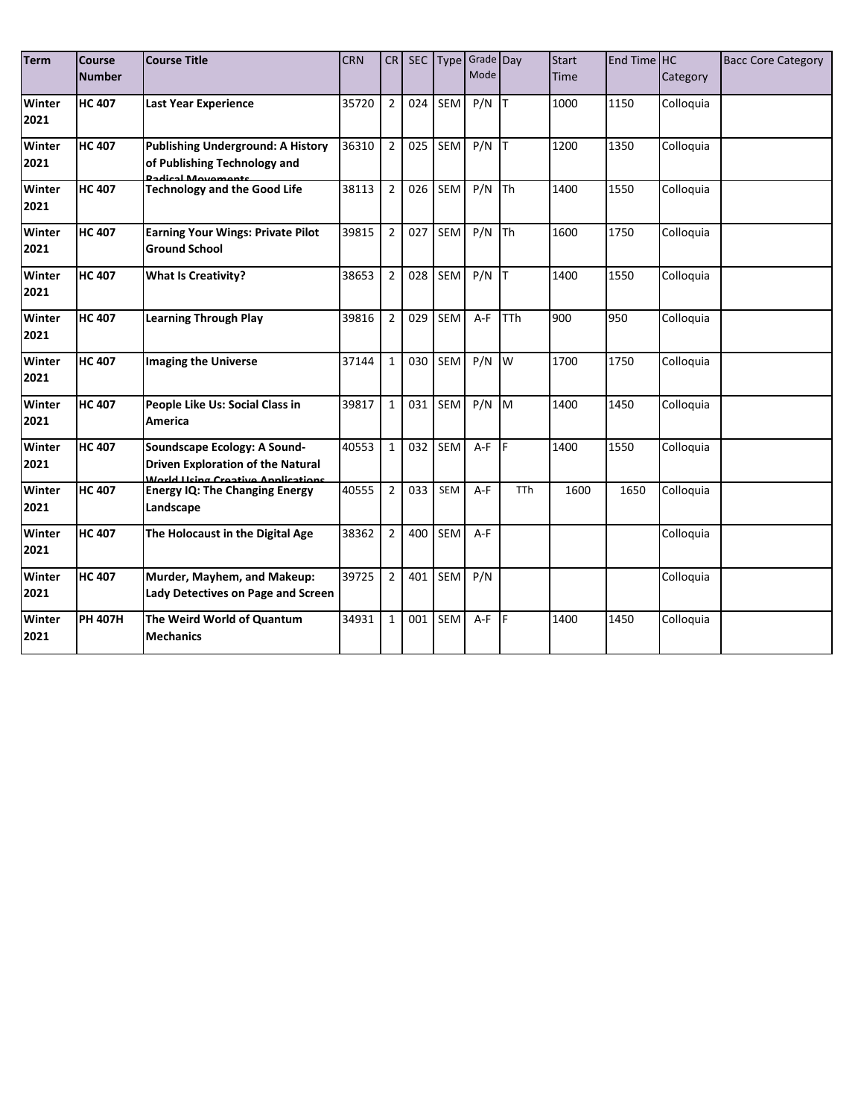| <b>Term</b>           | Course<br><b>Number</b> | <b>Course Title</b>                                                                                           | <b>CRN</b> | CR             | <b>SEC</b> | Type       | Grade Day<br>Mode |            | <b>Start</b><br><b>Time</b> | End Time HC | Category  | <b>Bacc Core Category</b> |
|-----------------------|-------------------------|---------------------------------------------------------------------------------------------------------------|------------|----------------|------------|------------|-------------------|------------|-----------------------------|-------------|-----------|---------------------------|
| Winter<br>2021        | <b>HC 407</b>           | <b>Last Year Experience</b>                                                                                   | 35720      | $\overline{2}$ | 024        | <b>SEM</b> | P/N               | lΤ         | 1000                        | 1150        | Colloquia |                           |
| <b>Winter</b><br>2021 | <b>HC 407</b>           | <b>Publishing Underground: A History</b><br>of Publishing Technology and                                      | 36310      | $\overline{2}$ | 025        | SEM        | P/N               | Iт         | 1200                        | 1350        | Colloquia |                           |
| Winter<br>2021        | <b>HC 407</b>           | <b>Technology and the Good Life</b>                                                                           | 38113      | $\overline{2}$ | 026        | SEM        | P/N               | Th         | 1400                        | 1550        | Colloquia |                           |
| Winter<br>2021        | <b>HC 407</b>           | <b>Earning Your Wings: Private Pilot</b><br><b>Ground School</b>                                              | 39815      | $\overline{2}$ | 027        | SEM        | P/N               | Th         | 1600                        | 1750        | Colloquia |                           |
| Winter<br>2021        | <b>HC 407</b>           | <b>What Is Creativity?</b>                                                                                    | 38653      | $\overline{2}$ | 028        | <b>SEM</b> | P/N               | T          | 1400                        | 1550        | Colloquia |                           |
| Winter<br>2021        | <b>HC 407</b>           | <b>Learning Through Play</b>                                                                                  | 39816      | $\overline{2}$ | 029        | SEM        | A-F               | <b>TTh</b> | 900                         | 950         | Colloquia |                           |
| Winter<br>2021        | <b>HC 407</b>           | <b>Imaging the Universe</b>                                                                                   | 37144      | $\mathbf{1}$   | 030        | SEM        | P/N               | W          | 1700                        | 1750        | Colloquia |                           |
| Winter<br>2021        | <b>HC 407</b>           | People Like Us: Social Class in<br><b>America</b>                                                             | 39817      | $\mathbf{1}$   | 031        | <b>SEM</b> | P/N               | <b>IM</b>  | 1400                        | 1450        | Colloquia |                           |
| Winter<br>2021        | <b>HC 407</b>           | Soundscape Ecology: A Sound-<br><b>Driven Exploration of the Natural</b><br>World Heing Crootive Applications | 40553      | $\mathbf{1}$   | 032        | <b>SEM</b> | $A-F$             | F.         | 1400                        | 1550        | Colloquia |                           |
| Winter<br>2021        | <b>HC 407</b>           | <b>Energy IQ: The Changing Energy</b><br>Landscape                                                            | 40555      | $\overline{2}$ | 033        | SEM        | A-F               | <b>TTh</b> | 1600                        | 1650        | Colloquia |                           |
| Winter<br>2021        | <b>HC 407</b>           | The Holocaust in the Digital Age                                                                              | 38362      | $\overline{2}$ | 400        | <b>SEM</b> | $A-F$             |            |                             |             | Colloquia |                           |
| Winter<br>2021        | <b>HC 407</b>           | Murder, Mayhem, and Makeup:<br>Lady Detectives on Page and Screen                                             | 39725      | $\overline{2}$ | 401        | SEM        | P/N               |            |                             |             | Colloquia |                           |
| Winter<br>2021        | <b>PH 407H</b>          | The Weird World of Quantum<br><b>Mechanics</b>                                                                | 34931      | $\mathbf{1}$   | 001        | <b>SEM</b> | A-F               | F.         | 1400                        | 1450        | Colloquia |                           |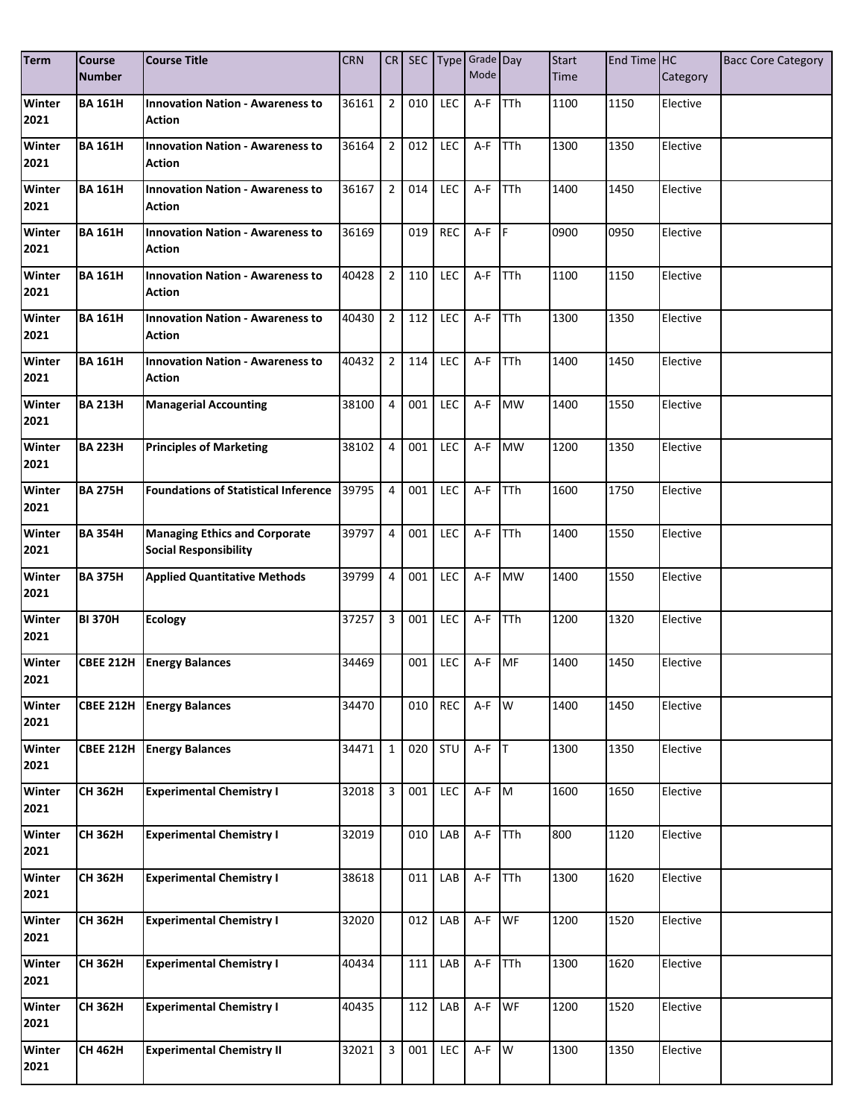| <b>Term</b>           | <b>Course</b><br><b>Number</b> | <b>Course Title</b>                                                  | <b>CRN</b> | CR             | SEC |            | Type Grade Day<br>Mode |            | <b>Start</b><br>Time | End Time HC | Category | <b>Bacc Core Category</b> |
|-----------------------|--------------------------------|----------------------------------------------------------------------|------------|----------------|-----|------------|------------------------|------------|----------------------|-------------|----------|---------------------------|
| <b>Winter</b><br>2021 | <b>BA 161H</b>                 | <b>Innovation Nation - Awareness to</b><br><b>Action</b>             | 36161      | $\overline{2}$ | 010 | <b>LEC</b> | A-F                    | TTh        | 1100                 | 1150        | Elective |                           |
| Winter<br>2021        | <b>BA 161H</b>                 | <b>Innovation Nation - Awareness to</b><br><b>Action</b>             | 36164      | $\overline{2}$ | 012 | LEC        | A-F                    | TTh        | 1300                 | 1350        | Elective |                           |
| Winter<br>2021        | <b>BA 161H</b>                 | <b>Innovation Nation - Awareness to</b><br><b>Action</b>             | 36167      | $\overline{2}$ | 014 | <b>LEC</b> | A-F                    | TTh        | 1400                 | 1450        | Elective |                           |
| Winter<br>2021        | <b>BA 161H</b>                 | <b>Innovation Nation - Awareness to</b><br><b>Action</b>             | 36169      |                | 019 | <b>REC</b> | $A-F$ $F$              |            | 0900                 | 0950        | Elective |                           |
| Winter<br>2021        | <b>BA 161H</b>                 | <b>Innovation Nation - Awareness to</b><br><b>Action</b>             | 40428      | $\overline{2}$ | 110 | <b>LEC</b> | A-F                    | <b>TTh</b> | 1100                 | 1150        | Elective |                           |
| Winter<br>2021        | <b>BA 161H</b>                 | <b>Innovation Nation - Awareness to</b><br><b>Action</b>             | 40430      | $\overline{2}$ | 112 | <b>LEC</b> | A-F                    | TTh        | 1300                 | 1350        | Elective |                           |
| Winter<br>2021        | <b>BA 161H</b>                 | <b>Innovation Nation - Awareness to</b><br><b>Action</b>             | 40432      | $\overline{2}$ | 114 | <b>LEC</b> | A-F                    | TTh        | 1400                 | 1450        | Elective |                           |
| Winter<br>2021        | <b>BA 213H</b>                 | <b>Managerial Accounting</b>                                         | 38100      | 4              | 001 | <b>LEC</b> | A-F                    | <b>MW</b>  | 1400                 | 1550        | Elective |                           |
| Winter<br>2021        | <b>BA 223H</b>                 | <b>Principles of Marketing</b>                                       | 38102      | 4              | 001 | <b>LEC</b> | $A-F$                  | <b>MW</b>  | 1200                 | 1350        | Elective |                           |
| Winter<br>2021        | <b>BA 275H</b>                 | <b>Foundations of Statistical Inference</b>                          | 39795      | $\overline{4}$ | 001 | <b>LEC</b> | A-F                    | TTh        | 1600                 | 1750        | Elective |                           |
| Winter<br>2021        | <b>BA 354H</b>                 | <b>Managing Ethics and Corporate</b><br><b>Social Responsibility</b> | 39797      | $\overline{4}$ | 001 | <b>LEC</b> | A-F                    | TTh        | 1400                 | 1550        | Elective |                           |
| Winter<br>2021        | <b>BA 375H</b>                 | <b>Applied Quantitative Methods</b>                                  | 39799      | 4              | 001 | <b>LEC</b> | A-F                    | <b>MW</b>  | 1400                 | 1550        | Elective |                           |
| Winter<br>2021        | <b>BI 370H</b>                 | <b>Ecology</b>                                                       | 37257      | 3              | 001 | LEC        | A-F                    | TTh        | 1200                 | 1320        | Elective |                           |
| Winter<br>2021        | <b>CBEE 212H</b>               | <b>Energy Balances</b>                                               | 34469      |                | 001 | <b>LEC</b> | A-F                    | <b>MF</b>  | 1400                 | 1450        | Elective |                           |
| Winter<br>2021        | <b>CBEE 212H</b>               | <b>Energy Balances</b>                                               | 34470      |                | 010 | REC        | A-F                    | W          | 1400                 | 1450        | Elective |                           |
| Winter<br>2021        | <b>CBEE 212H</b>               | <b>Energy Balances</b>                                               | 34471      | $\mathbf 1$    | 020 | <b>STU</b> | $A-F$ T                |            | 1300                 | 1350        | Elective |                           |
| Winter<br>2021        | <b>CH 362H</b>                 | <b>Experimental Chemistry I</b>                                      | 32018      | 3              | 001 | <b>LEC</b> | A-F M                  |            | 1600                 | 1650        | Elective |                           |
| Winter<br>2021        | <b>CH 362H</b>                 | <b>Experimental Chemistry I</b>                                      | 32019      |                | 010 | LAB        | $A-F$                  | <b>TTh</b> | 800                  | 1120        | Elective |                           |
| Winter<br>2021        | <b>CH 362H</b>                 | <b>Experimental Chemistry I</b>                                      | 38618      |                | 011 | LAB        | A-F                    | <b>TTh</b> | 1300                 | 1620        | Elective |                           |
| Winter<br>2021        | <b>CH 362H</b>                 | <b>Experimental Chemistry I</b>                                      | 32020      |                | 012 | LAB        | A-F WF                 |            | 1200                 | 1520        | Elective |                           |
| Winter<br>2021        | <b>CH 362H</b>                 | <b>Experimental Chemistry I</b>                                      | 40434      |                | 111 | LAB        | $A-F$                  | <b>TTh</b> | 1300                 | 1620        | Elective |                           |
| Winter<br>2021        | <b>CH 362H</b>                 | <b>Experimental Chemistry I</b>                                      | 40435      |                | 112 | LAB        | A-F                    | <b>WF</b>  | 1200                 | 1520        | Elective |                           |
| Winter<br>2021        | <b>CH 462H</b>                 | <b>Experimental Chemistry II</b>                                     | 32021      | 3              | 001 | LEC        | $A-F$ W                |            | 1300                 | 1350        | Elective |                           |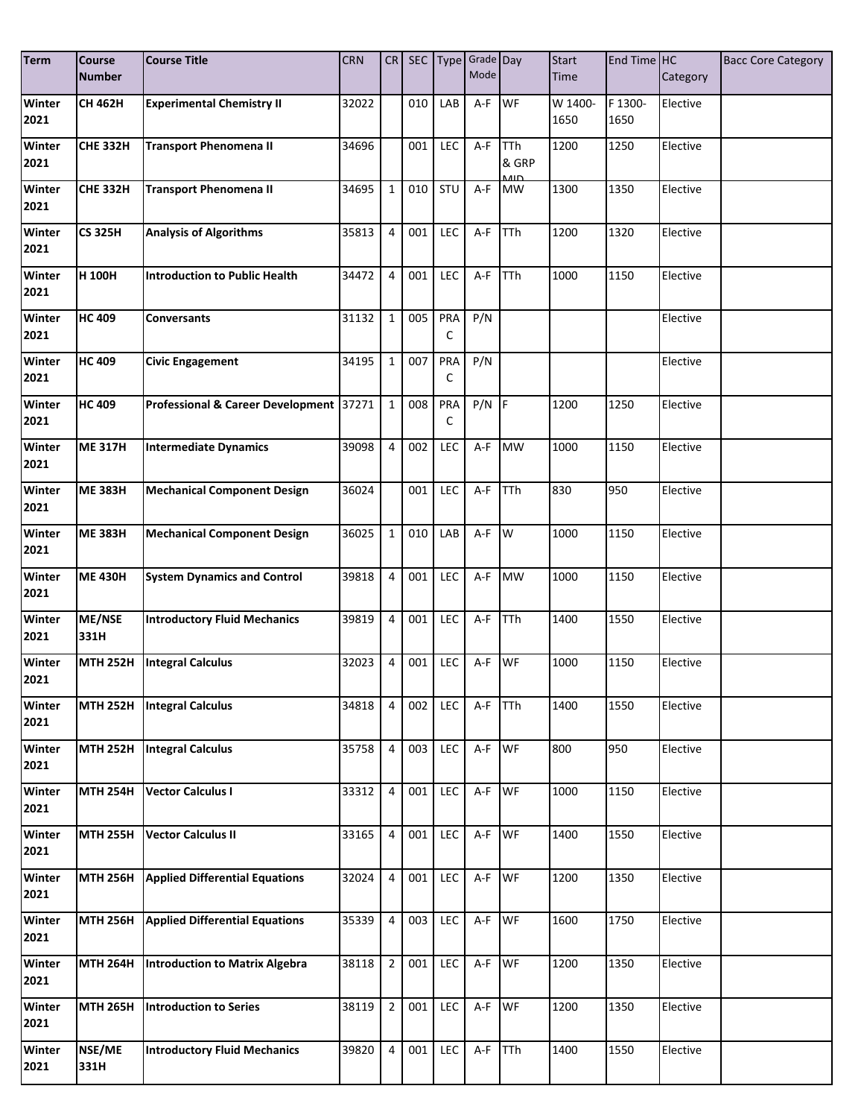| <b>Term</b>           | <b>Course</b><br><b>Number</b> | <b>Course Title</b>                     | <b>CRN</b> | CR             |     |            | SEC Type Grade Day<br>Mode |                          | <b>Start</b><br>Time | End Time HC | Category | <b>Bacc Core Category</b> |
|-----------------------|--------------------------------|-----------------------------------------|------------|----------------|-----|------------|----------------------------|--------------------------|----------------------|-------------|----------|---------------------------|
| <b>Winter</b>         | <b>CH 462H</b>                 | <b>Experimental Chemistry II</b>        | 32022      |                | 010 | LAB        | A-F                        | <b>WF</b>                | W 1400-              | F 1300-     | Elective |                           |
| 2021                  |                                |                                         |            |                |     |            |                            |                          | 1650                 | 1650        |          |                           |
| Winter                | <b>CHE 332H</b>                | <b>Transport Phenomena II</b>           | 34696      |                | 001 | LEC        | A-F                        | <b>TTh</b>               | 1200                 | 1250        | Elective |                           |
| 2021                  |                                |                                         |            |                |     |            |                            | & GRP<br>$\overline{AB}$ |                      |             |          |                           |
| Winter<br>2021        | <b>CHE 332H</b>                | <b>Transport Phenomena II</b>           | 34695      | $\mathbf{1}$   | 010 | STU        | A-F                        | <b>MW</b>                | 1300                 | 1350        | Elective |                           |
| Winter<br>2021        | <b>CS 325H</b>                 | <b>Analysis of Algorithms</b>           | 35813      | 4              | 001 | LEC        | A-F                        | <b>TTh</b>               | 1200                 | 1320        | Elective |                           |
| Winter<br>2021        | H 100H                         | Introduction to Public Health           | 34472      | 4              | 001 | LEC        | A-F                        | <b>TTh</b>               | 1000                 | 1150        | Elective |                           |
| Winter<br>2021        | <b>HC 409</b>                  | <b>Conversants</b>                      | 31132      | $\mathbf{1}$   | 005 | PRA<br>C   | P/N                        |                          |                      |             | Elective |                           |
| Winter<br>2021        | <b>HC 409</b>                  | <b>Civic Engagement</b>                 | 34195      | $\mathbf{1}$   | 007 | PRA<br>C   | P/N                        |                          |                      |             | Elective |                           |
| <b>Winter</b><br>2021 | <b>HC 409</b>                  | Professional & Career Development 37271 |            | $\mathbf{1}$   | 008 | PRA<br>C   | $P/N$ F                    |                          | 1200                 | 1250        | Elective |                           |
| Winter<br>2021        | <b>ME 317H</b>                 | Intermediate Dynamics                   | 39098      | $\overline{4}$ | 002 | LEC        | A-F                        | <b>MW</b>                | 1000                 | 1150        | Elective |                           |
| Winter<br>2021        | <b>ME 383H</b>                 | <b>Mechanical Component Design</b>      | 36024      |                | 001 | <b>LEC</b> | A-F                        | TTh                      | 830                  | 950         | Elective |                           |
| Winter<br>2021        | <b>ME 383H</b>                 | <b>Mechanical Component Design</b>      | 36025      | $\mathbf{1}$   | 010 | LAB        | A-F                        | W                        | 1000                 | 1150        | Elective |                           |
| Winter<br>2021        | <b>ME 430H</b>                 | <b>System Dynamics and Control</b>      | 39818      | 4              | 001 | <b>LEC</b> | A-F                        | <b>MW</b>                | 1000                 | 1150        | Elective |                           |
| Winter<br>2021        | ME/NSE<br>331H                 | <b>Introductory Fluid Mechanics</b>     | 39819      | 4              | 001 | LEC        | A-F                        | TTh                      | 1400                 | 1550        | Elective |                           |
| Winter<br>2021        | <b>MTH 252H</b>                | <b>Integral Calculus</b>                | 32023      | 4              | 001 | LEC        | A-F                        | WF                       | 1000                 | 1150        | Elective |                           |
| Winter<br>2021        | <b>MTH 252H</b>                | <b>Integral Calculus</b>                | 34818      | 4              | 002 | LEC        | $A-F$                      | <b>TTh</b>               | 1400                 | 1550        | Elective |                           |
| Winter<br>2021        | <b>MTH 252H</b>                | Integral Calculus                       | 35758      | $\overline{4}$ | 003 | LEC        | A-F                        | WF                       | 800                  | 950         | Elective |                           |
| Winter<br>2021        | <b>MTH 254H</b>                | <b>Vector Calculus I</b>                | 33312      | 4              | 001 | LEC        | A-F                        | <b>WF</b>                | 1000                 | 1150        | Elective |                           |
| Winter<br>2021        | <b>MTH 255H</b>                | <b>Vector Calculus II</b>               | 33165      | 4              | 001 | LEC        | A-F                        | WF                       | 1400                 | 1550        | Elective |                           |
| Winter<br>2021        | <b>MTH 256H</b>                | <b>Applied Differential Equations</b>   | 32024      | $\overline{4}$ | 001 | LEC        | A-F                        | <b>WF</b>                | 1200                 | 1350        | Elective |                           |
| Winter<br>2021        | <b>MTH 256H</b>                | <b>Applied Differential Equations</b>   | 35339      | 4              | 003 | LEC        | A-F WF                     |                          | 1600                 | 1750        | Elective |                           |
| Winter<br>2021        | <b>MTH 264H</b>                | Introduction to Matrix Algebra          | 38118      | $\overline{2}$ | 001 | LEC        | $A-F$                      | <b>WF</b>                | 1200                 | 1350        | Elective |                           |
| Winter<br>2021        | <b>MTH 265H</b>                | <b>Introduction to Series</b>           | 38119      | $\overline{2}$ | 001 | LEC        | $A-F$                      | <b>WF</b>                | 1200                 | 1350        | Elective |                           |
| Winter<br>2021        | NSE/ME<br>331H                 | <b>Introductory Fluid Mechanics</b>     | 39820      | 4              | 001 | LEC        | $A-F$                      | TTh                      | 1400                 | 1550        | Elective |                           |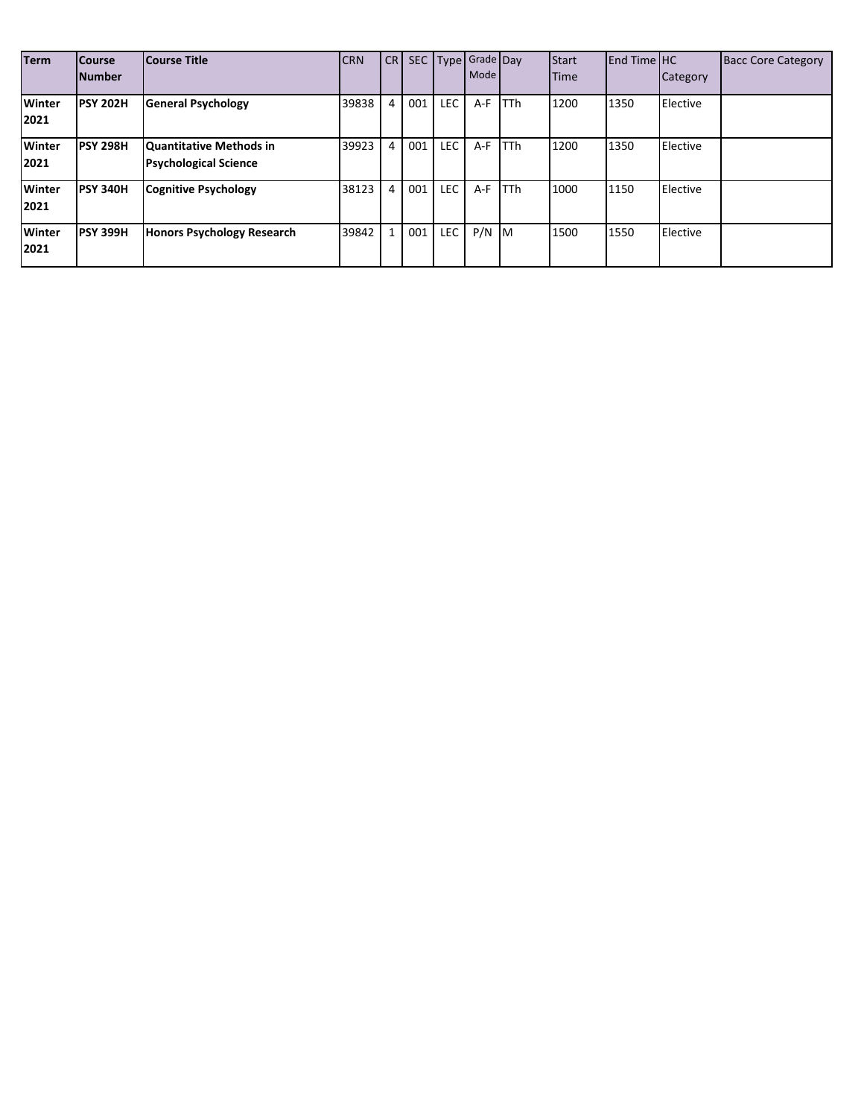| <b>Term</b>           | <b>Course</b><br><b>Number</b> | Course Title                                            | <b>CRN</b> | CR <sub>I</sub> |     |            | SEC Type Grade Day<br>Mode |             | <b>Start</b><br>Time | $End$ Time $H$ C | Category | <b>Bacc Core Category</b> |
|-----------------------|--------------------------------|---------------------------------------------------------|------------|-----------------|-----|------------|----------------------------|-------------|----------------------|------------------|----------|---------------------------|
| <b>Winter</b><br>2021 | <b>PSY 202H</b>                | <b>General Psychology</b>                               | 39838      | 4               | 001 | <b>LEC</b> | $A-F$                      | <b>TTh</b>  | 1200                 | 1350             | Elective |                           |
| <b>Winter</b><br>2021 | <b>PSY 298H</b>                | Quantitative Methods in<br><b>Psychological Science</b> | 39923      | 4               | 001 | <b>LEC</b> | $A-F$                      | <b>TTh</b>  | 1200                 | 1350             | Elective |                           |
| <b>Winter</b><br>2021 | <b>PSY 340H</b>                | <b>Cognitive Psychology</b>                             | 38123      | 4               | 001 | <b>LEC</b> | A-F                        | <b>ITTh</b> | 1000                 | 1150             | Elective |                           |
| <b>Winter</b><br>2021 | <b>PSY 399H</b>                | Honors Psychology Research                              | 39842      | $\mathbf{1}$    | 001 | <b>LEC</b> | $P/N$ M                    |             | 1500                 | 1550             | Elective |                           |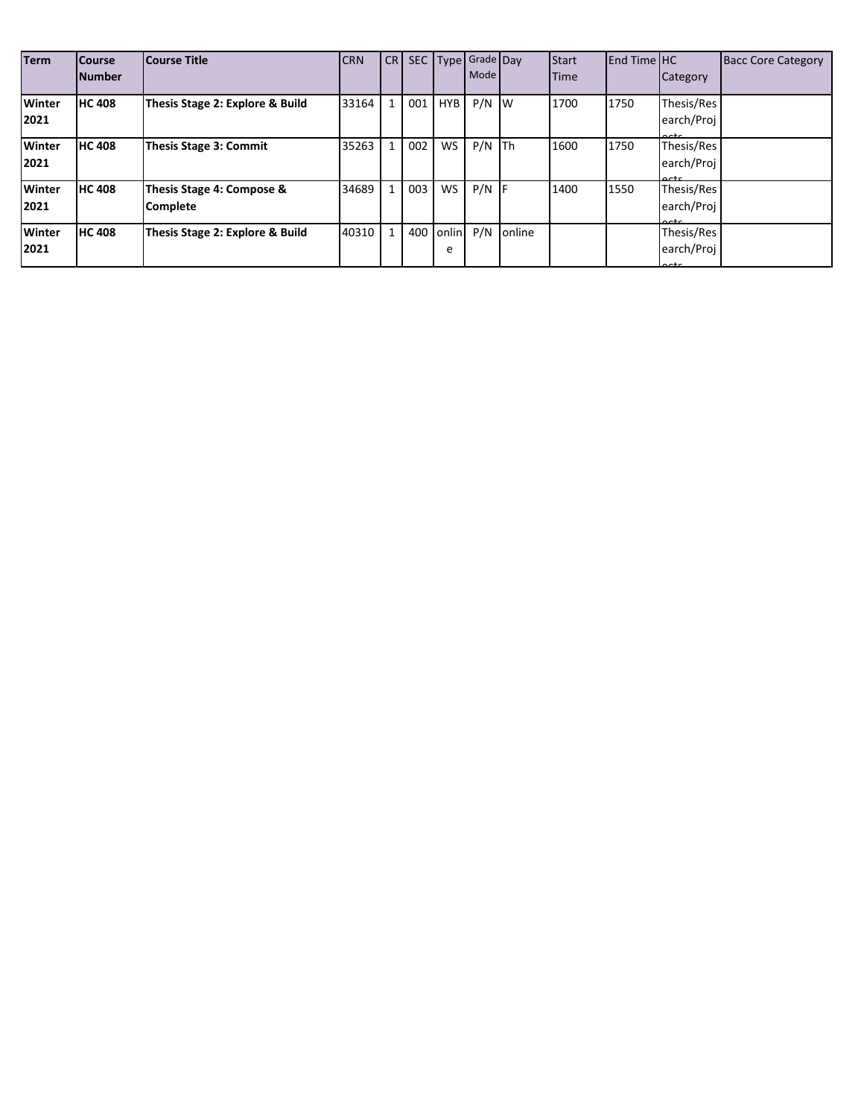| <b>Term</b>           | <b>Course</b><br><b>Number</b> | <b>Course Title</b>                          | <b>CRN</b> | CR           |     |            | SEC Type Grade Day<br>Mode |        | Start<br><b>Time</b> | <b>End Time HC</b> | Category                                    | <b>Bacc Core Category</b> |
|-----------------------|--------------------------------|----------------------------------------------|------------|--------------|-----|------------|----------------------------|--------|----------------------|--------------------|---------------------------------------------|---------------------------|
| <b>Winter</b><br>2021 | <b>HC 408</b>                  | Thesis Stage 2: Explore & Build              | 33164      | 1            | 001 | <b>HYB</b> | $P/N$ W                    |        | 1700                 | 1750               | Thesis/Res<br>earch/Proj<br>$\sim$          |                           |
| <b>Winter</b><br>2021 | <b>HC 408</b>                  | <b>Thesis Stage 3: Commit</b>                | 35263      | $\mathbf{1}$ | 002 | <b>WS</b>  | $P/N$ Th                   |        | 1600                 | 1750               | Thesis/Res<br>earch/Proj<br>$\sim$          |                           |
| <b>Winter</b><br>2021 | <b>HC 408</b>                  | Thesis Stage 4: Compose &<br><b>Complete</b> | 34689      | $\mathbf{1}$ | 003 | <b>WS</b>  | $P/N$ F                    |        | 1400                 | 1550               | Thesis/Res<br>earch/Proj<br>$\sim$ + $\sim$ |                           |
| <b>Winter</b><br>2021 | <b>HC 408</b>                  | Thesis Stage 2: Explore & Build              | 40310      |              | 400 | onlin<br>e | P/N                        | online |                      |                    | Thesis/Res<br>earch/Proj<br>$\sim$          |                           |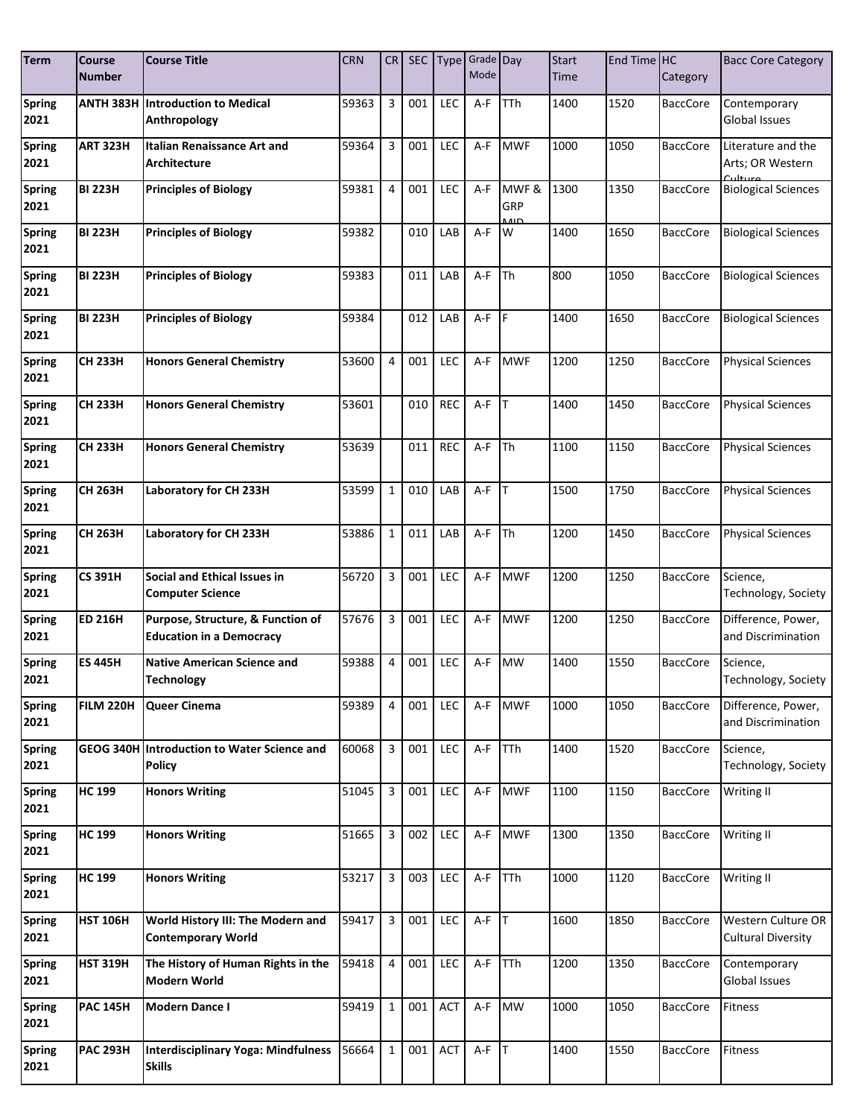| <b>Term</b>           | Course<br><b>Number</b> | <b>Course Title</b>                                                  | <b>CRN</b> | CR             | <b>SEC</b> |            | Type Grade Day<br>Mode |                                | <b>Start</b><br>Time | End Time HC | Category        | <b>Bacc Core Category</b>                       |
|-----------------------|-------------------------|----------------------------------------------------------------------|------------|----------------|------------|------------|------------------------|--------------------------------|----------------------|-------------|-----------------|-------------------------------------------------|
| <b>Spring</b><br>2021 | <b>ANTH 383H</b>        | <b>Introduction to Medical</b><br>Anthropology                       | 59363      | 3              | 001        | LEC        | A-F                    | TTh                            | 1400                 | 1520        | <b>BaccCore</b> | Contemporary<br>Global Issues                   |
| <b>Spring</b><br>2021 | ART 323H                | <b>Italian Renaissance Art and</b><br><b>Architecture</b>            | 59364      | 3              | 001        | LEC        | A-F                    | <b>MWF</b>                     | 1000                 | 1050        | <b>BaccCore</b> | Literature and the<br>Arts; OR Western          |
| <b>Spring</b><br>2021 | <b>BI 223H</b>          | <b>Principles of Biology</b>                                         | 59381      | 4              | 001        | LEC        | A-F                    | MWF&<br>GRP<br>11 <sub>0</sub> | 1300                 | 1350        | <b>BaccCore</b> | <b>Biological Sciences</b>                      |
| <b>Spring</b><br>2021 | <b>BI 223H</b>          | <b>Principles of Biology</b>                                         | 59382      |                | 010        | LAB        | A-F                    | W                              | 1400                 | 1650        | <b>BaccCore</b> | <b>Biological Sciences</b>                      |
| <b>Spring</b><br>2021 | <b>BI 223H</b>          | <b>Principles of Biology</b>                                         | 59383      |                | 011        | LAB        | A-F                    | <b>ITh</b>                     | 800                  | 1050        | <b>BaccCore</b> | <b>Biological Sciences</b>                      |
| <b>Spring</b><br>2021 | <b>BI 223H</b>          | <b>Principles of Biology</b>                                         | 59384      |                | 012        | LAB        | A-F                    | <b>IF</b>                      | 1400                 | 1650        | <b>BaccCore</b> | <b>Biological Sciences</b>                      |
| <b>Spring</b><br>2021 | <b>CH 233H</b>          | <b>Honors General Chemistry</b>                                      | 53600      | 4              | 001        | LEC        | $A-F$                  | <b>MWF</b>                     | 1200                 | 1250        | <b>BaccCore</b> | <b>Physical Sciences</b>                        |
| <b>Spring</b><br>2021 | <b>CH 233H</b>          | <b>Honors General Chemistry</b>                                      | 53601      |                | 010        | <b>REC</b> | A-F                    | Iт                             | 1400                 | 1450        | <b>BaccCore</b> | <b>Physical Sciences</b>                        |
| <b>Spring</b><br>2021 | <b>CH 233H</b>          | <b>Honors General Chemistry</b>                                      | 53639      |                | 011        | <b>REC</b> | A-F                    | <b>Th</b>                      | 1100                 | 1150        | <b>BaccCore</b> | <b>Physical Sciences</b>                        |
| <b>Spring</b><br>2021 | <b>CH 263H</b>          | Laboratory for CH 233H                                               | 53599      | $\mathbf{1}$   | 010        | LAB        | A-F                    | Iт                             | 1500                 | 1750        | <b>BaccCore</b> | <b>Physical Sciences</b>                        |
| <b>Spring</b><br>2021 | <b>CH 263H</b>          | Laboratory for CH 233H                                               | 53886      | 1              | 011        | LAB        | A-F                    | <b>ITh</b>                     | 1200                 | 1450        | <b>BaccCore</b> | <b>Physical Sciences</b>                        |
| Spring<br>2021        | <b>CS 391H</b>          | Social and Ethical Issues in<br><b>Computer Science</b>              | 56720      | 3              | 001        | LEC        | A-F                    | <b>MWF</b>                     | 1200                 | 1250        | <b>BaccCore</b> | Science,<br>Technology, Society                 |
| <b>Spring</b><br>2021 | <b>ED 216H</b>          | Purpose, Structure, & Function of<br><b>Education in a Democracy</b> | 57676      | 3              | 001        | LEC        | A-F                    | <b>MWF</b>                     | 1200                 | 1250        | <b>BaccCore</b> | Difference, Power,<br>and Discrimination        |
| <b>Spring</b><br>2021 | <b>ES 445H</b>          | <b>Native American Science and</b><br><b>Technology</b>              | 59388      | 4              | 001        | LEC        | A-F                    | <b>MW</b>                      | 1400                 | 1550        | <b>BaccCore</b> | Science,<br>Technology, Society                 |
| <b>Spring</b><br>2021 | <b>FILM 220H</b>        | Queer Cinema                                                         | 59389      | 4              | 001        | <b>LEC</b> | A-F                    | <b>MWF</b>                     | 1000                 | 1050        | BaccCore        | Difference, Power,<br>and Discrimination        |
| <b>Spring</b><br>2021 |                         | GEOG 340H Introduction to Water Science and<br><b>Policy</b>         | 60068      | 3              | 001        | LEC        | A-F                    | TTh                            | 1400                 | 1520        | <b>BaccCore</b> | Science,<br>Technology, Society                 |
| <b>Spring</b><br>2021 | <b>HC 199</b>           | <b>Honors Writing</b>                                                | 51045      | 3              | 001        | <b>LEC</b> | A-F                    | <b>MWF</b>                     | 1100                 | 1150        | <b>BaccCore</b> | Writing II                                      |
| <b>Spring</b><br>2021 | <b>HC 199</b>           | <b>Honors Writing</b>                                                | 51665      | 3              | 002        | LEC        | A-F                    | <b>MWF</b>                     | 1300                 | 1350        | <b>BaccCore</b> | Writing II                                      |
| <b>Spring</b><br>2021 | <b>HC 199</b>           | <b>Honors Writing</b>                                                | 53217      | 3              | 003        | <b>LEC</b> | A-F                    | <b>TTh</b>                     | 1000                 | 1120        | <b>BaccCore</b> | Writing II                                      |
| <b>Spring</b><br>2021 | <b>HST 106H</b>         | World History III: The Modern and<br><b>Contemporary World</b>       | 59417      | 3              | 001        | <b>LEC</b> | $A-F$ T                |                                | 1600                 | 1850        | <b>BaccCore</b> | Western Culture OR<br><b>Cultural Diversity</b> |
| <b>Spring</b><br>2021 | <b>HST 319H</b>         | The History of Human Rights in the<br><b>Modern World</b>            | 59418      | $\overline{4}$ | 001        | LEC        | A-F                    | <b>TTh</b>                     | 1200                 | 1350        | <b>BaccCore</b> | Contemporary<br>Global Issues                   |
| <b>Spring</b><br>2021 | <b>PAC 145H</b>         | <b>Modern Dance I</b>                                                | 59419      | $\mathbf{1}$   | 001        | <b>ACT</b> | A-F MW                 |                                | 1000                 | 1050        | <b>BaccCore</b> | Fitness                                         |
| <b>Spring</b><br>2021 | <b>PAC 293H</b>         | <b>Interdisciplinary Yoga: Mindfulness</b><br><b>Skills</b>          | 56664      | $\mathbf{1}$   | 001        | <b>ACT</b> | $A-F$ T                |                                | 1400                 | 1550        | <b>BaccCore</b> | Fitness                                         |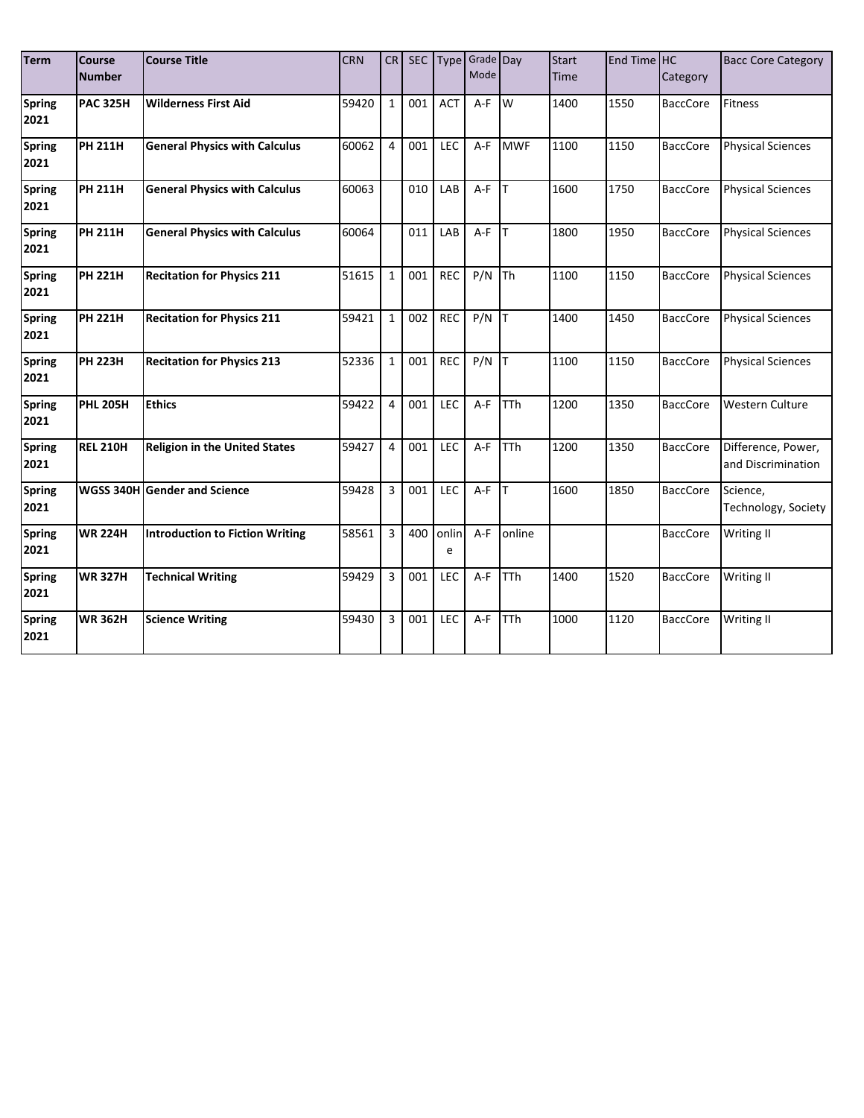| <b>Term</b>           | Course<br><b>Number</b> | <b>Course Title</b>                    | <b>CRN</b> | CR             |     |            | SEC Type Grade Day<br>Mode |             | <b>Start</b><br><b>Time</b> | End Time HC | Category        | <b>Bacc Core Category</b>                |
|-----------------------|-------------------------|----------------------------------------|------------|----------------|-----|------------|----------------------------|-------------|-----------------------------|-------------|-----------------|------------------------------------------|
| <b>Spring</b><br>2021 | <b>PAC 325H</b>         | <b>Wilderness First Aid</b>            | 59420      | $\mathbf{1}$   | 001 | <b>ACT</b> | $A-F$                      | Iw          | 1400                        | 1550        | <b>BaccCore</b> | <b>Fitness</b>                           |
| <b>Spring</b><br>2021 | <b>PH 211H</b>          | <b>General Physics with Calculus</b>   | 60062      | 4              | 001 | LEC        | $A-F$                      | <b>MWF</b>  | 1100                        | 1150        | <b>BaccCore</b> | <b>Physical Sciences</b>                 |
| <b>Spring</b><br>2021 | <b>PH 211H</b>          | <b>General Physics with Calculus</b>   | 60063      |                | 010 | LAB        | $A-F$                      | <b>IT</b>   | 1600                        | 1750        | <b>BaccCore</b> | <b>Physical Sciences</b>                 |
| <b>Spring</b><br>2021 | <b>PH 211H</b>          | <b>General Physics with Calculus</b>   | 60064      |                | 011 | LAB        | A-F                        | Iт          | 1800                        | 1950        | <b>BaccCore</b> | <b>Physical Sciences</b>                 |
| <b>Spring</b><br>2021 | <b>PH 221H</b>          | <b>Recitation for Physics 211</b>      | 51615      | $\mathbf{1}$   | 001 | <b>REC</b> | P/N                        | <b>Th</b>   | 1100                        | 1150        | <b>BaccCore</b> | <b>Physical Sciences</b>                 |
| <b>Spring</b><br>2021 | <b>PH 221H</b>          | <b>Recitation for Physics 211</b>      | 59421      | $\mathbf{1}$   | 002 | <b>REC</b> | P/N                        | Iт          | 1400                        | 1450        | <b>BaccCore</b> | <b>Physical Sciences</b>                 |
| <b>Spring</b><br>2021 | <b>PH 223H</b>          | <b>Recitation for Physics 213</b>      | 52336      | $\mathbf{1}$   | 001 | <b>REC</b> | P/N                        | Iт          | 1100                        | 1150        | <b>BaccCore</b> | <b>Physical Sciences</b>                 |
| <b>Spring</b><br>2021 | <b>PHL 205H</b>         | <b>Ethics</b>                          | 59422      | 4              | 001 | LEC        | $A-F$                      | <b>TTh</b>  | 1200                        | 1350        | <b>BaccCore</b> | <b>Western Culture</b>                   |
| <b>Spring</b><br>2021 | <b>REL 210H</b>         | <b>Religion in the United States</b>   | 59427      | 4              | 001 | LEC        | $A-F$                      | <b>ITTh</b> | 1200                        | 1350        | <b>BaccCore</b> | Difference, Power,<br>and Discrimination |
| <b>Spring</b><br>2021 | <b>WGSS 340H</b>        | <b>Gender and Science</b>              | 59428      | 3              | 001 | LEC        | $A-F$                      | Iт          | 1600                        | 1850        | <b>BaccCore</b> | Science,<br>Technology, Society          |
| <b>Spring</b><br>2021 | <b>WR 224H</b>          | <b>Introduction to Fiction Writing</b> | 58561      | 3              | 400 | onlin<br>e | $A-F$                      | online      |                             |             | <b>BaccCore</b> | Writing II                               |
| <b>Spring</b><br>2021 | <b>WR 327H</b>          | <b>Technical Writing</b>               | 59429      | $\overline{3}$ | 001 | LEC        | $A-F$                      | <b>TTh</b>  | 1400                        | 1520        | <b>BaccCore</b> | Writing II                               |
| <b>Spring</b><br>2021 | <b>WR 362H</b>          | <b>Science Writing</b>                 | 59430      | 3              | 001 | LEC        | $A-F$                      | <b>TTh</b>  | 1000                        | 1120        | <b>BaccCore</b> | <b>Writing II</b>                        |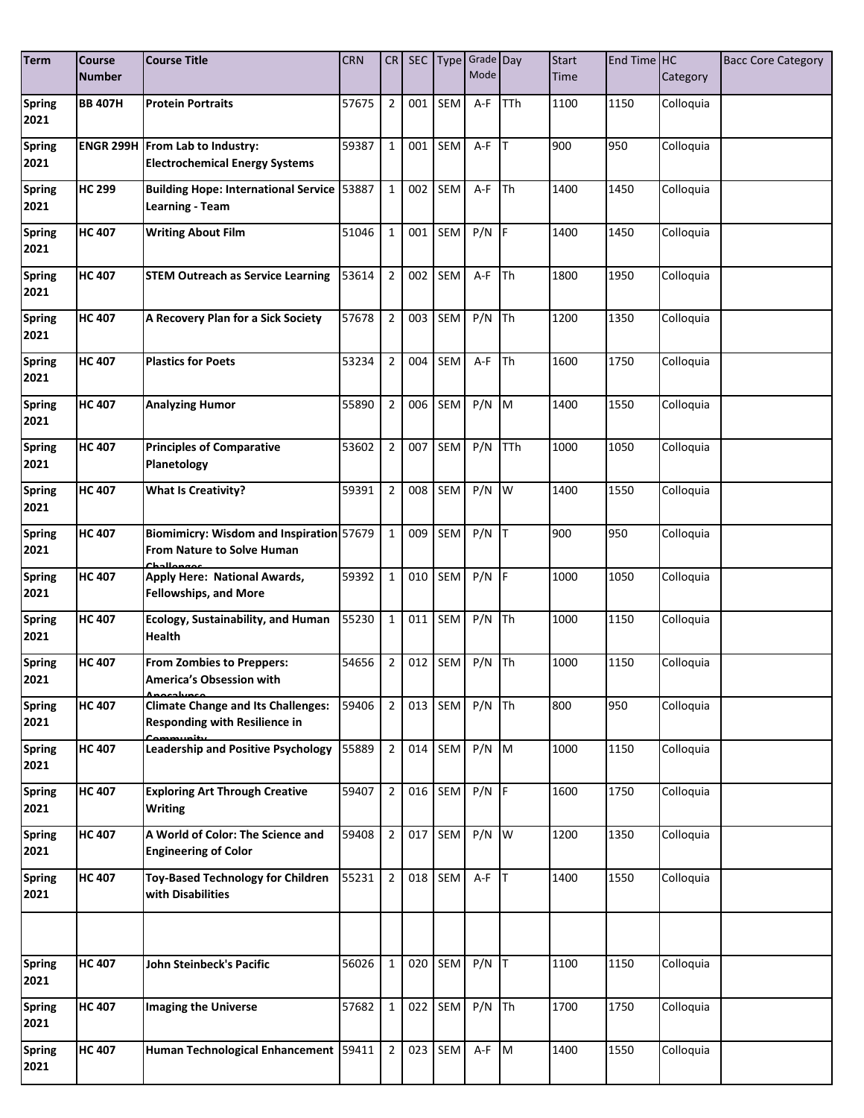| <b>Term</b>           | <b>Course</b><br><b>Number</b> | <b>Course Title</b>                                                                     | <b>CRN</b> | CR             | SEC |     | Type Grade Day<br>Mode |            | <b>Start</b><br>Time | End Time HC | Category  | <b>Bacc Core Category</b> |
|-----------------------|--------------------------------|-----------------------------------------------------------------------------------------|------------|----------------|-----|-----|------------------------|------------|----------------------|-------------|-----------|---------------------------|
| <b>Spring</b><br>2021 | <b>BB 407H</b>                 | <b>Protein Portraits</b>                                                                | 57675      | $\overline{2}$ | 001 | SEM | A-F                    | <b>TTh</b> | 1100                 | 1150        | Colloquia |                           |
| <b>Spring</b><br>2021 |                                | <b>ENGR 299H From Lab to Industry:</b><br><b>Electrochemical Energy Systems</b>         | 59387      | $\mathbf{1}$   | 001 | SEM | $A-F$ T                |            | 900                  | 950         | Colloquia |                           |
| <b>Spring</b><br>2021 | <b>HC 299</b>                  | <b>Building Hope: International Service 53887</b><br>Learning - Team                    |            | $\mathbf{1}$   | 002 | SEM | A-F                    | <b>Th</b>  | 1400                 | 1450        | Colloquia |                           |
| <b>Spring</b><br>2021 | <b>HC 407</b>                  | <b>Writing About Film</b>                                                               | 51046      | $\mathbf{1}$   | 001 | SEM | $P/N$ F                |            | 1400                 | 1450        | Colloquia |                           |
| <b>Spring</b><br>2021 | <b>HC 407</b>                  | <b>STEM Outreach as Service Learning</b>                                                | 53614      | $\overline{2}$ | 002 | SEM | A-F                    | <b>Th</b>  | 1800                 | 1950        | Colloquia |                           |
| <b>Spring</b><br>2021 | <b>HC 407</b>                  | A Recovery Plan for a Sick Society                                                      | 57678      | $\overline{2}$ | 003 | SEM | P/N                    | <b>Th</b>  | 1200                 | 1350        | Colloquia |                           |
| <b>Spring</b><br>2021 | <b>HC 407</b>                  | <b>Plastics for Poets</b>                                                               | 53234      | $\overline{2}$ | 004 | SEM | $A-F$ Th               |            | 1600                 | 1750        | Colloquia |                           |
| <b>Spring</b><br>2021 | <b>HC 407</b>                  | <b>Analyzing Humor</b>                                                                  | 55890      | $\overline{2}$ | 006 | SEM | $P/N$ M                |            | 1400                 | 1550        | Colloquia |                           |
| <b>Spring</b><br>2021 | <b>HC 407</b>                  | <b>Principles of Comparative</b><br>Planetology                                         | 53602      | $\overline{2}$ | 007 | SEM | $P/N$ TTh              |            | 1000                 | 1050        | Colloquia |                           |
| <b>Spring</b><br>2021 | <b>HC 407</b>                  | <b>What Is Creativity?</b>                                                              | 59391      | $\overline{2}$ | 008 | SEM | $P/N$ $\overline{W}$   |            | 1400                 | 1550        | Colloquia |                           |
| <b>Spring</b><br>2021 | <b>HC 407</b>                  | Biomimicry: Wisdom and Inspiration 57679<br>From Nature to Solve Human                  |            | $\mathbf{1}$   | 009 | SEM | $P/N$ T                |            | 900                  | 950         | Colloquia |                           |
| <b>Spring</b><br>2021 | <b>HC 407</b>                  | Apply Here: National Awards,<br><b>Fellowships, and More</b>                            | 59392      | $\mathbf{1}$   | 010 | SEM | P/N                    | <b>IF</b>  | 1000                 | 1050        | Colloquia |                           |
| <b>Spring</b><br>2021 | <b>HC 407</b>                  | <b>Ecology, Sustainability, and Human</b><br><b>Health</b>                              | 55230      | $\mathbf{1}$   | 011 | SEM | $P/N$ Th               |            | 1000                 | 1150        | Colloquia |                           |
| <b>Spring</b><br>2021 | <b>HC 407</b>                  | <b>From Zombies to Preppers:</b><br>America's Obsession with                            | 54656      | $\overline{2}$ | 012 | SEM | P/N                    | Th         | 1000                 | 1150        | Colloquia |                           |
| <b>Spring</b><br>2021 | <b>HC 407</b>                  | <b>Climate Change and Its Challenges:</b><br>Responding with Resilience in<br>Community | 59406      | $\overline{2}$ | 013 | SEM | $P/N$ Th               |            | 800                  | 950         | Colloquia |                           |
| <b>Spring</b><br>2021 | <b>HC 407</b>                  | <b>Leadership and Positive Psychology</b>                                               | 55889      | $\overline{2}$ | 014 | SEM | $P/N$ M                |            | 1000                 | 1150        | Colloquia |                           |
| <b>Spring</b><br>2021 | <b>HC 407</b>                  | <b>Exploring Art Through Creative</b><br><b>Writing</b>                                 | 59407      | $\overline{2}$ | 016 | SEM | $P/N$ F                |            | 1600                 | 1750        | Colloquia |                           |
| <b>Spring</b><br>2021 | <b>HC 407</b>                  | A World of Color: The Science and<br><b>Engineering of Color</b>                        | 59408      | $\overline{2}$ | 017 | SEM | $P/N$ W                |            | 1200                 | 1350        | Colloquia |                           |
| <b>Spring</b><br>2021 | <b>HC 407</b>                  | <b>Toy-Based Technology for Children</b><br>with Disabilities                           | 55231      | $\overline{2}$ | 018 | SEM | $A-F$ T                |            | 1400                 | 1550        | Colloquia |                           |
|                       |                                |                                                                                         |            |                |     |     |                        |            |                      |             |           |                           |
| <b>Spring</b><br>2021 | <b>HC 407</b>                  | John Steinbeck's Pacific                                                                | 56026      | $\mathbf{1}$   | 020 | SEM | $P/N$ T                |            | 1100                 | 1150        | Colloquia |                           |
| <b>Spring</b><br>2021 | <b>HC 407</b>                  | <b>Imaging the Universe</b>                                                             | 57682      | $\mathbf{1}$   | 022 | SEM | $P/N$ Th               |            | 1700                 | 1750        | Colloquia |                           |
| <b>Spring</b><br>2021 | <b>HC 407</b>                  | Human Technological Enhancement 59411                                                   |            | $\overline{2}$ | 023 | SEM | A-F M                  |            | 1400                 | 1550        | Colloquia |                           |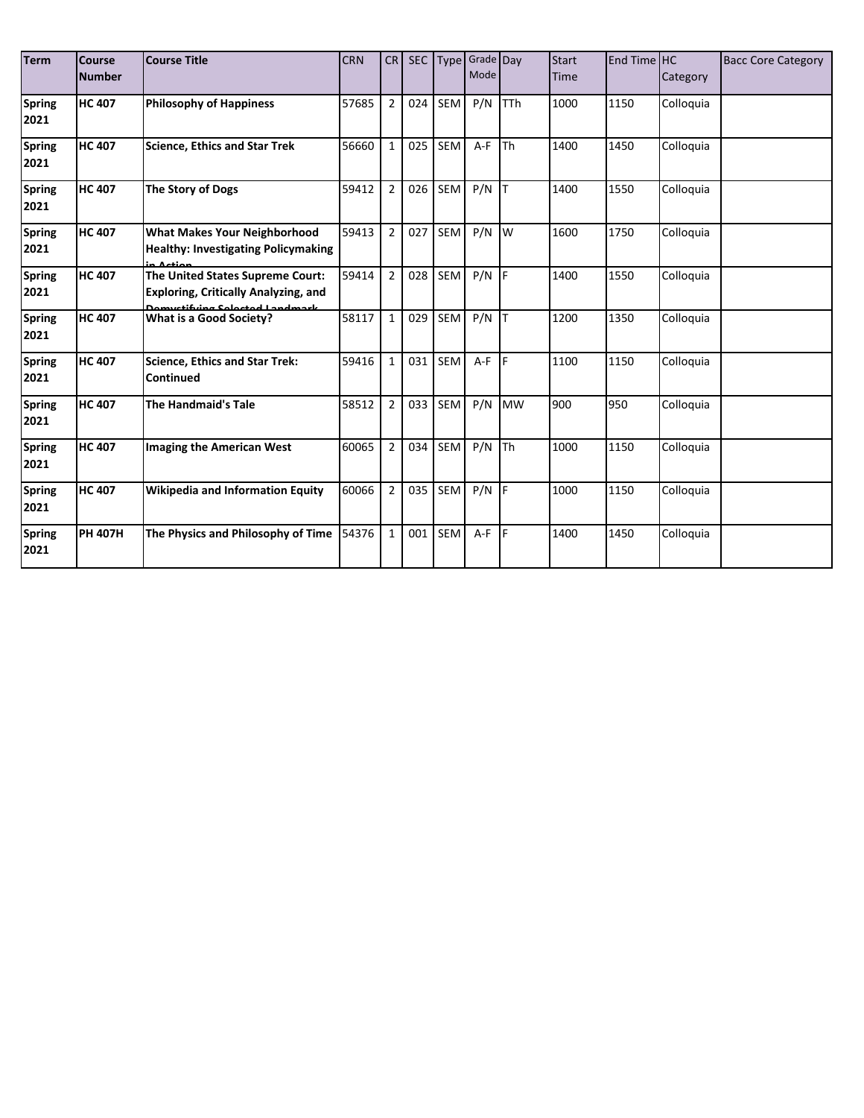| <b>Term</b>           | Course<br><b>Number</b> | <b>Course Title</b>                                                                                                       | <b>CRN</b> | CR             | <b>SEC</b> | <b>Type</b> | Grade Day<br>Mode |            | <b>Start</b><br><b>Time</b> | End Time HC | Category  | <b>Bacc Core Category</b> |
|-----------------------|-------------------------|---------------------------------------------------------------------------------------------------------------------------|------------|----------------|------------|-------------|-------------------|------------|-----------------------------|-------------|-----------|---------------------------|
| <b>Spring</b><br>2021 | <b>HC 407</b>           | <b>Philosophy of Happiness</b>                                                                                            | 57685      | $\overline{2}$ | 024        | SEM         | P/N               | <b>TTh</b> | 1000                        | 1150        | Colloquia |                           |
| <b>Spring</b><br>2021 | <b>HC 407</b>           | <b>Science, Ethics and Star Trek</b>                                                                                      | 56660      | $\mathbf{1}$   | 025        | <b>SEM</b>  | $A-F$             | <b>Th</b>  | 1400                        | 1450        | Colloquia |                           |
| <b>Spring</b><br>2021 | <b>HC 407</b>           | The Story of Dogs                                                                                                         | 59412      | $\overline{2}$ | 026        | SEM         | $P/N$ T           |            | 1400                        | 1550        | Colloquia |                           |
| <b>Spring</b><br>2021 | <b>HC 407</b>           | <b>What Makes Your Neighborhood</b><br><b>Healthy: Investigating Policymaking</b><br>in Action                            | 59413      | $\overline{2}$ | 027        | SEM         | P/N               | W          | 1600                        | 1750        | Colloquia |                           |
| <b>Spring</b><br>2021 | <b>HC 407</b>           | The United States Supreme Court:<br><b>Exploring, Critically Analyzing, and</b><br><u> Domuctifuing Coloctod Landmark</u> | 59414      | $\overline{2}$ | 028        | SEM         | $P/N$ F           |            | 1400                        | 1550        | Colloquia |                           |
| <b>Spring</b><br>2021 | <b>HC 407</b>           | What is a Good Society?                                                                                                   | 58117      | $\mathbf{1}$   | 029        | SEM         | P/N               |            | 1200                        | 1350        | Colloquia |                           |
| <b>Spring</b><br>2021 | <b>HC 407</b>           | <b>Science, Ethics and Star Trek:</b><br><b>Continued</b>                                                                 | 59416      | $\mathbf{1}$   | 031        | <b>SEM</b>  | $A-F$             | F          | 1100                        | 1150        | Colloquia |                           |
| <b>Spring</b><br>2021 | <b>HC 407</b>           | <b>The Handmaid's Tale</b>                                                                                                | 58512      | $\overline{2}$ | 033        | SEM         | P/N               | <b>MW</b>  | 900                         | 950         | Colloquia |                           |
| <b>Spring</b><br>2021 | <b>HC 407</b>           | <b>Imaging the American West</b>                                                                                          | 60065      | $\overline{2}$ | 034        | SEM         | P/N               | <b>Th</b>  | 1000                        | 1150        | Colloquia |                           |
| <b>Spring</b><br>2021 | <b>HC 407</b>           | <b>Wikipedia and Information Equity</b>                                                                                   | 60066      | $\overline{2}$ | 035        | SEM         | P/N               | <b>IF</b>  | 1000                        | 1150        | Colloquia |                           |
| <b>Spring</b><br>2021 | <b>PH 407H</b>          | The Physics and Philosophy of Time                                                                                        | 54376      | $\mathbf{1}$   | 001        | SEM         | A-F               | <b>IF</b>  | 1400                        | 1450        | Colloquia |                           |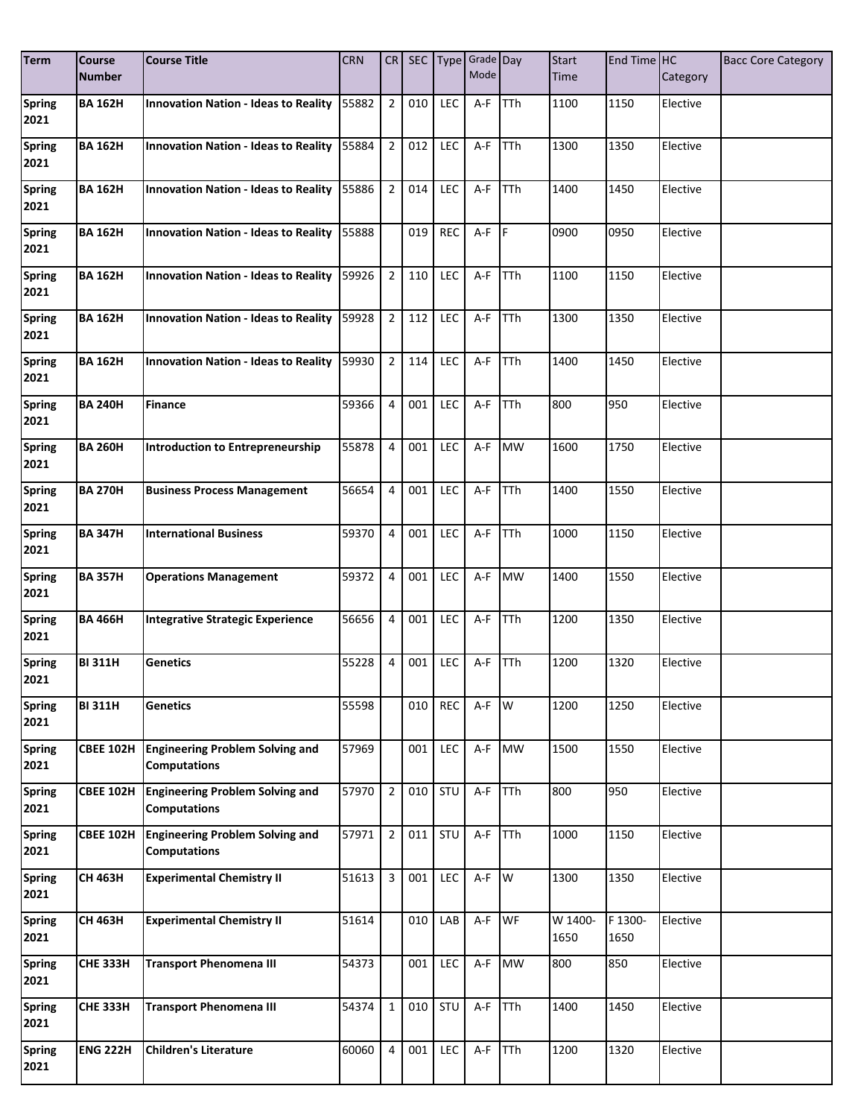| <b>Term</b>           | <b>Course</b><br><b>Number</b> | <b>Course Title</b>                                           | <b>CRN</b> | CR             |     |            | SEC Type Grade Day<br>Mode |            | <b>Start</b><br>Time | End Time HC | Category | <b>Bacc Core Category</b> |
|-----------------------|--------------------------------|---------------------------------------------------------------|------------|----------------|-----|------------|----------------------------|------------|----------------------|-------------|----------|---------------------------|
| <b>Spring</b>         | <b>BA 162H</b>                 | <b>Innovation Nation - Ideas to Reality</b>                   | 55882      | $\overline{2}$ | 010 | <b>LEC</b> | A-F                        | <b>TTh</b> | 1100                 | 1150        | Elective |                           |
| 2021                  |                                |                                                               |            |                |     |            |                            |            |                      |             |          |                           |
| <b>Spring</b>         | <b>BA 162H</b>                 | <b>Innovation Nation - Ideas to Reality</b>                   | 55884      | $\overline{2}$ | 012 | LEC        | A-F                        | TTh        | 1300                 | 1350        | Elective |                           |
| 2021                  |                                |                                                               |            |                |     |            |                            |            |                      |             |          |                           |
| <b>Spring</b><br>2021 | <b>BA 162H</b>                 | <b>Innovation Nation - Ideas to Reality</b>                   | 55886      | $\overline{2}$ | 014 | <b>LEC</b> | A-F                        | TTh        | 1400                 | 1450        | Elective |                           |
|                       |                                |                                                               |            |                |     |            |                            |            |                      |             |          |                           |
| <b>Spring</b><br>2021 | <b>BA 162H</b>                 | <b>Innovation Nation - Ideas to Reality</b>                   | 55888      |                | 019 | <b>REC</b> | $A-F$ $F$                  |            | 0900                 | 0950        | Elective |                           |
| <b>Spring</b>         | <b>BA 162H</b>                 | <b>Innovation Nation - Ideas to Reality</b>                   | 59926      | $\overline{2}$ | 110 | LEC        | A-F                        | TTh        | 1100                 | 1150        | Elective |                           |
| 2021                  |                                |                                                               |            |                |     |            |                            |            |                      |             |          |                           |
| <b>Spring</b>         | <b>BA 162H</b>                 | <b>Innovation Nation - Ideas to Reality</b>                   | 59928      | $\overline{2}$ | 112 | LEC        | A-F                        | TTh        | 1300                 | 1350        | Elective |                           |
| 2021                  |                                |                                                               |            |                |     |            |                            |            |                      |             |          |                           |
| <b>Spring</b><br>2021 | <b>BA 162H</b>                 | <b>Innovation Nation - Ideas to Reality</b>                   | 59930      | $2^{\circ}$    | 114 | LEC        | A-F                        | TTh        | 1400                 | 1450        | Elective |                           |
| <b>Spring</b>         | <b>BA 240H</b>                 | <b>Finance</b>                                                | 59366      | 4              | 001 | <b>LEC</b> | A-F                        | <b>TTh</b> | 800                  | 950         | Elective |                           |
| 2021                  |                                |                                                               |            |                |     |            |                            |            |                      |             |          |                           |
| <b>Spring</b>         | <b>BA 260H</b>                 | <b>Introduction to Entrepreneurship</b>                       | 55878      | 4              | 001 | LEC        | A-F                        | <b>MW</b>  | 1600                 | 1750        | Elective |                           |
| 2021                  |                                |                                                               |            |                |     |            |                            |            |                      |             |          |                           |
| <b>Spring</b><br>2021 | <b>BA 270H</b>                 | <b>Business Process Management</b>                            | 56654      | 4              | 001 | LEC        | A-F                        | <b>TTh</b> | 1400                 | 1550        | Elective |                           |
| <b>Spring</b>         | <b>BA 347H</b>                 | <b>International Business</b>                                 | 59370      | 4              | 001 | LEC        | A-F                        | TTh        | 1000                 | 1150        | Elective |                           |
| 2021                  |                                |                                                               |            |                |     |            |                            |            |                      |             |          |                           |
| Spring                | <b>BA 357H</b>                 | <b>Operations Management</b>                                  | 59372      | 4              | 001 | <b>LEC</b> | A-F                        | <b>MW</b>  | 1400                 | 1550        | Elective |                           |
| 2021                  |                                |                                                               |            |                |     |            |                            |            |                      |             |          |                           |
| <b>Spring</b><br>2021 | <b>BA 466H</b>                 | <b>Integrative Strategic Experience</b>                       | 56656      | 4              | 001 | LEC        | A-F                        | TTh        | 1200                 | 1350        | Elective |                           |
| Spring                | <b>BI 311H</b>                 | Genetics                                                      | 55228      | 4              | 001 | LEC        | A-F                        | TTh        | 1200                 | 1320        | Elective |                           |
| 2021                  |                                |                                                               |            |                |     |            |                            |            |                      |             |          |                           |
| <b>Spring</b>         | <b>BI 311H</b>                 | <b>Genetics</b>                                               | 55598      |                | 010 | REC        | A-F                        | W          | 1200                 | 1250        | Elective |                           |
| 2021                  |                                |                                                               |            |                |     |            |                            |            |                      |             |          |                           |
| <b>Spring</b><br>2021 | <b>CBEE 102H</b>               | <b>Engineering Problem Solving and</b><br><b>Computations</b> | 57969      |                | 001 | LEC        | A-F                        | <b>MW</b>  | 1500                 | 1550        | Elective |                           |
| <b>Spring</b>         | <b>CBEE 102H</b>               | <b>Engineering Problem Solving and</b>                        | 57970      | $\overline{2}$ | 010 | STU        | A-F                        | TTh        | 800                  | 950         | Elective |                           |
| 2021                  |                                | <b>Computations</b>                                           |            |                |     |            |                            |            |                      |             |          |                           |
| <b>Spring</b>         | <b>CBEE 102H</b>               | <b>Engineering Problem Solving and</b>                        | 57971      | $\overline{2}$ | 011 | STU        | A-F                        | <b>TTh</b> | 1000                 | 1150        | Elective |                           |
| 2021                  |                                | <b>Computations</b>                                           |            |                |     |            |                            |            |                      |             |          |                           |
| <b>Spring</b><br>2021 | <b>CH 463H</b>                 | <b>Experimental Chemistry II</b>                              | 51613      | 3              | 001 | LEC        | A-F                        | W          | 1300                 | 1350        | Elective |                           |
| <b>Spring</b>         | <b>CH 463H</b>                 | <b>Experimental Chemistry II</b>                              | 51614      |                | 010 | LAB        | $A-F$                      | <b>WF</b>  | W 1400-              | F 1300-     | Elective |                           |
| 2021                  |                                |                                                               |            |                |     |            |                            |            | 1650                 | 1650        |          |                           |
| <b>Spring</b>         | <b>CHE 333H</b>                | <b>Transport Phenomena III</b>                                | 54373      |                | 001 | LEC        | A-F                        | <b>MW</b>  | 800                  | 850         | Elective |                           |
| 2021                  |                                |                                                               |            |                |     |            |                            |            |                      |             |          |                           |
| <b>Spring</b>         | <b>CHE 333H</b>                | <b>Transport Phenomena III</b>                                | 54374      | $\mathbf{1}$   | 010 | STU        | A-F                        | TTh        | 1400                 | 1450        | Elective |                           |
| 2021                  |                                |                                                               |            |                |     |            |                            |            |                      |             |          |                           |
| <b>Spring</b><br>2021 | <b>ENG 222H</b>                | <b>Children's Literature</b>                                  | 60060      | 4              | 001 | LEC        | A-F                        | <b>TTh</b> | $\overline{1200}$    | 1320        | Elective |                           |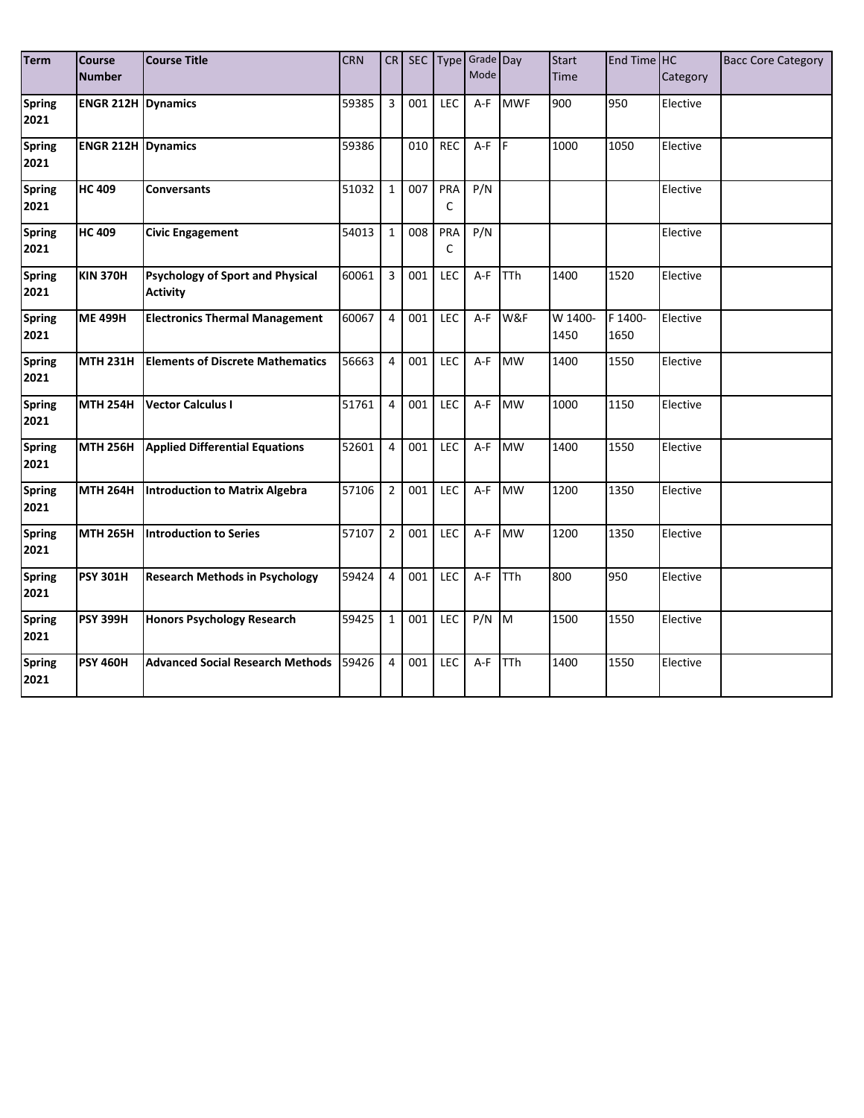| <b>Term</b>           | <b>Course</b><br><b>Number</b> | <b>Course Title</b>                                        | <b>CRN</b> | CR             |     |            | SEC Type Grade Day<br>Mode |            | <b>Start</b><br><b>Time</b> | End Time HC     | Category | <b>Bacc Core Category</b> |
|-----------------------|--------------------------------|------------------------------------------------------------|------------|----------------|-----|------------|----------------------------|------------|-----------------------------|-----------------|----------|---------------------------|
| <b>Spring</b><br>2021 | <b>ENGR 212H Dynamics</b>      |                                                            | 59385      | 3              | 001 | <b>LEC</b> | $A-F$                      | <b>MWF</b> | 900                         | 950             | Elective |                           |
| <b>Spring</b><br>2021 | <b>ENGR 212H Dynamics</b>      |                                                            | 59386      |                | 010 | REC        | $A-F$ $F$                  |            | 1000                        | 1050            | Elective |                           |
| <b>Spring</b><br>2021 | <b>HC 409</b>                  | <b>Conversants</b>                                         | 51032      | $\mathbf{1}$   | 007 | PRA<br>C   | P/N                        |            |                             |                 | Elective |                           |
| <b>Spring</b><br>2021 | <b>HC 409</b>                  | <b>Civic Engagement</b>                                    | 54013      | $\mathbf{1}$   | 008 | PRA<br>C   | P/N                        |            |                             |                 | Elective |                           |
| <b>Spring</b><br>2021 | <b>KIN 370H</b>                | <b>Psychology of Sport and Physical</b><br><b>Activity</b> | 60061      | 3              | 001 | <b>LEC</b> | $A-F$                      | <b>TTh</b> | 1400                        | 1520            | Elective |                           |
| <b>Spring</b><br>2021 | <b>ME 499H</b>                 | <b>Electronics Thermal Management</b>                      | 60067      | $\overline{4}$ | 001 | LEC        | A-F                        | W&F        | W 1400-<br>1450             | F 1400-<br>1650 | Elective |                           |
| <b>Spring</b><br>2021 | <b>MTH 231H</b>                | <b>Elements of Discrete Mathematics</b>                    | 56663      | $\overline{4}$ | 001 | LEC        | $A-F$                      | <b>MW</b>  | 1400                        | 1550            | Elective |                           |
| <b>Spring</b><br>2021 | <b>MTH 254H</b>                | <b>Vector Calculus I</b>                                   | 51761      | $\overline{4}$ | 001 | LEC        | A-F                        | <b>MW</b>  | 1000                        | 1150            | Elective |                           |
| <b>Spring</b><br>2021 | <b>MTH 256H</b>                | <b>Applied Differential Equations</b>                      | 52601      | 4              | 001 | LEC        | A-F                        | <b>MW</b>  | 1400                        | 1550            | Elective |                           |
| <b>Spring</b><br>2021 | <b>MTH 264H</b>                | Introduction to Matrix Algebra                             | 57106      | $\overline{2}$ | 001 | LEC        | A-F                        | <b>MW</b>  | 1200                        | 1350            | Elective |                           |
| <b>Spring</b><br>2021 | <b>MTH 265H</b>                | Introduction to Series                                     | 57107      | $\overline{2}$ | 001 | LEC        | $A-F$                      | <b>MW</b>  | 1200                        | 1350            | Elective |                           |
| <b>Spring</b><br>2021 | <b>PSY 301H</b>                | <b>Research Methods in Psychology</b>                      | 59424      | $\overline{4}$ | 001 | LEC        | A-F                        | <b>TTh</b> | 800                         | 950             | Elective |                           |
| <b>Spring</b><br>2021 | <b>PSY 399H</b>                | <b>Honors Psychology Research</b>                          | 59425      | $\mathbf{1}$   | 001 | <b>LEC</b> | $P/N$ M                    |            | 1500                        | 1550            | Elective |                           |
| <b>Spring</b><br>2021 | <b>PSY 460H</b>                | <b>Advanced Social Research Methods</b>                    | 59426      | $\overline{4}$ | 001 | LEC        | $A-F$                      | TTh        | 1400                        | 1550            | Elective |                           |